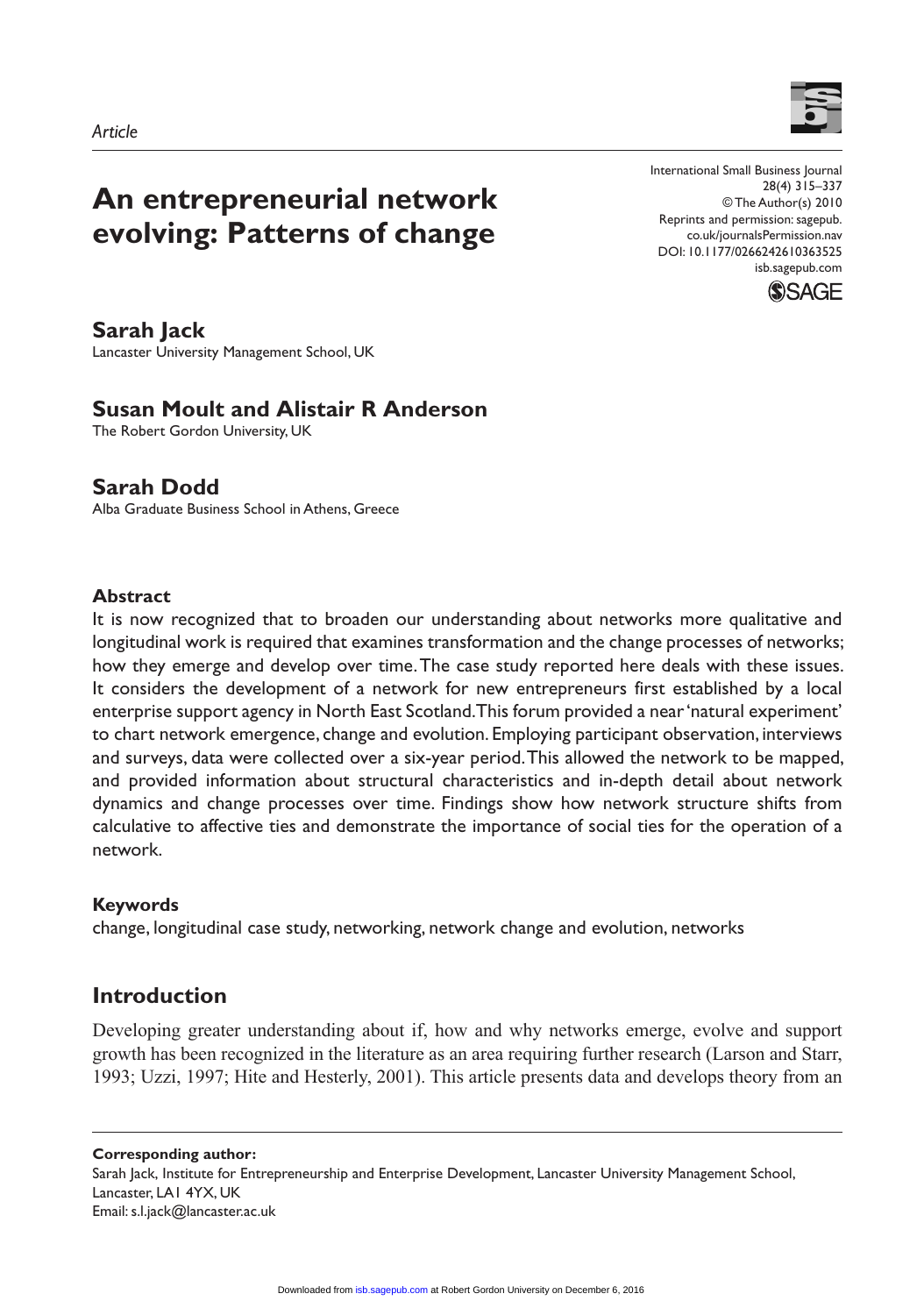

# **An entrepreneurial network evolving: Patterns of change**

International Small Business Journal 28(4) 315–337 © The Author(s) 2010 Reprints and permission: sagepub. co.uk/journalsPermission.nav DOI: 10.1177/0266242610363525 isb.sagepub.com



# **Sarah Jack**

Lancaster University Management School, UK

# **Susan Moult and Alistair R Anderson**

The Robert Gordon University, UK

# **Sarah Dodd**

Alba Graduate Business School in Athens, Greece

### **Abstract**

It is now recognized that to broaden our understanding about networks more qualitative and longitudinal work is required that examines transformation and the change processes of networks; how they emerge and develop over time. The case study reported here deals with these issues. It considers the development of a network for new entrepreneurs first established by a local enterprise support agency in North East Scotland. This forum provided a near 'natural experiment' to chart network emergence, change and evolution. Employing participant observation, interviews and surveys, data were collected over a six-year period. This allowed the network to be mapped, and provided information about structural characteristics and in-depth detail about network dynamics and change processes over time. Findings show how network structure shifts from calculative to affective ties and demonstrate the importance of social ties for the operation of a network.

#### **Keywords**

change, longitudinal case study, networking, network change and evolution, networks

# **Introduction**

Developing greater understanding about if, how and why networks emerge, evolve and support growth has been recognized in the literature as an area requiring further research (Larson and Starr, 1993; Uzzi, 1997; Hite and Hesterly, 2001). This article presents data and develops theory from an

**Corresponding author:**

Sarah Jack, Institute for Entrepreneurship and Enterprise Development, Lancaster University Management School, Lancaster, LA1 4YX, UK Email: s.l.jack@lancaster.ac.uk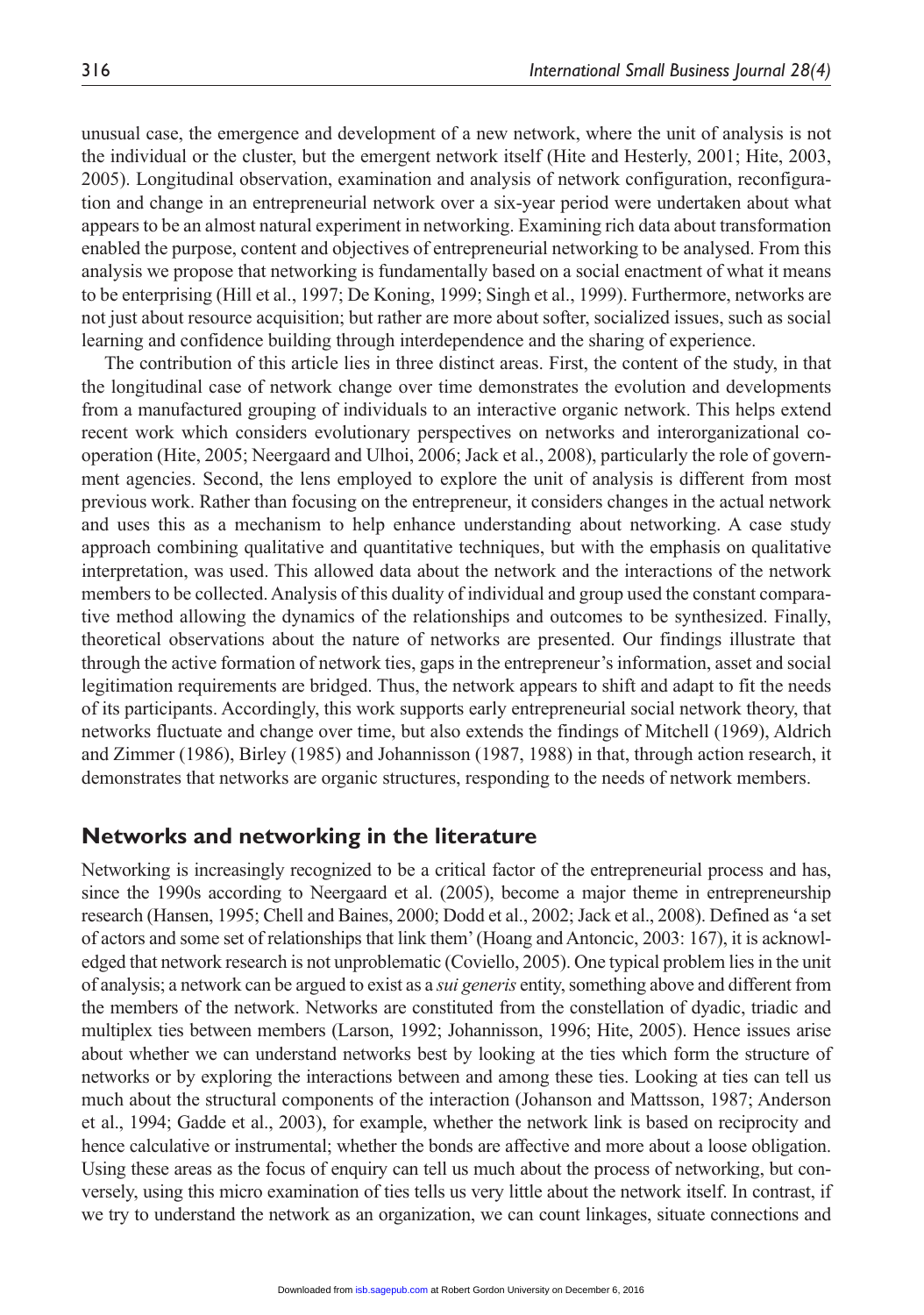unusual case, the emergence and development of a new network, where the unit of analysis is not the individual or the cluster, but the emergent network itself (Hite and Hesterly, 2001; Hite, 2003, 2005). Longitudinal observation, examination and analysis of network configuration, reconfiguration and change in an entrepreneurial network over a six-year period were undertaken about what appears to be an almost natural experiment in networking. Examining rich data about transformation enabled the purpose, content and objectives of entrepreneurial networking to be analysed. From this analysis we propose that networking is fundamentally based on a social enactment of what it means to be enterprising (Hill et al., 1997; De Koning, 1999; Singh et al., 1999). Furthermore, networks are not just about resource acquisition; but rather are more about softer, socialized issues, such as social learning and confidence building through interdependence and the sharing of experience.

The contribution of this article lies in three distinct areas. First, the content of the study, in that the longitudinal case of network change over time demonstrates the evolution and developments from a manufactured grouping of individuals to an interactive organic network. This helps extend recent work which considers evolutionary perspectives on networks and interorganizational cooperation (Hite, 2005; Neergaard and Ulhoi, 2006; Jack et al., 2008), particularly the role of government agencies. Second, the lens employed to explore the unit of analysis is different from most previous work. Rather than focusing on the entrepreneur, it considers changes in the actual network and uses this as a mechanism to help enhance understanding about networking. A case study approach combining qualitative and quantitative techniques, but with the emphasis on qualitative interpretation, was used. This allowed data about the network and the interactions of the network members to be collected. Analysis of this duality of individual and group used the constant comparative method allowing the dynamics of the relationships and outcomes to be synthesized. Finally, theoretical observations about the nature of networks are presented. Our findings illustrate that through the active formation of network ties, gaps in the entrepreneur's information, asset and social legitimation requirements are bridged. Thus, the network appears to shift and adapt to fit the needs of its participants. Accordingly, this work supports early entrepreneurial social network theory, that networks fluctuate and change over time, but also extends the findings of Mitchell (1969), Aldrich and Zimmer (1986), Birley (1985) and Johannisson (1987, 1988) in that, through action research, it demonstrates that networks are organic structures, responding to the needs of network members.

# **Networks and networking in the literature**

Networking is increasingly recognized to be a critical factor of the entrepreneurial process and has, since the 1990s according to Neergaard et al. (2005), become a major theme in entrepreneurship research (Hansen, 1995; Chell and Baines, 2000; Dodd et al., 2002; Jack et al., 2008). Defined as 'a set of actors and some set of relationships that link them' (Hoang and Antoncic, 2003: 167), it is acknowledged that network research is not unproblematic (Coviello, 2005). One typical problem lies in the unit of analysis; a network can be argued to exist as a *sui generis* entity, something above and different from the members of the network. Networks are constituted from the constellation of dyadic, triadic and multiplex ties between members (Larson, 1992; Johannisson, 1996; Hite, 2005). Hence issues arise about whether we can understand networks best by looking at the ties which form the structure of networks or by exploring the interactions between and among these ties. Looking at ties can tell us much about the structural components of the interaction (Johanson and Mattsson, 1987; Anderson et al., 1994; Gadde et al., 2003), for example, whether the network link is based on reciprocity and hence calculative or instrumental; whether the bonds are affective and more about a loose obligation. Using these areas as the focus of enquiry can tell us much about the process of networking, but conversely, using this micro examination of ties tells us very little about the network itself. In contrast, if we try to understand the network as an organization, we can count linkages, situate connections and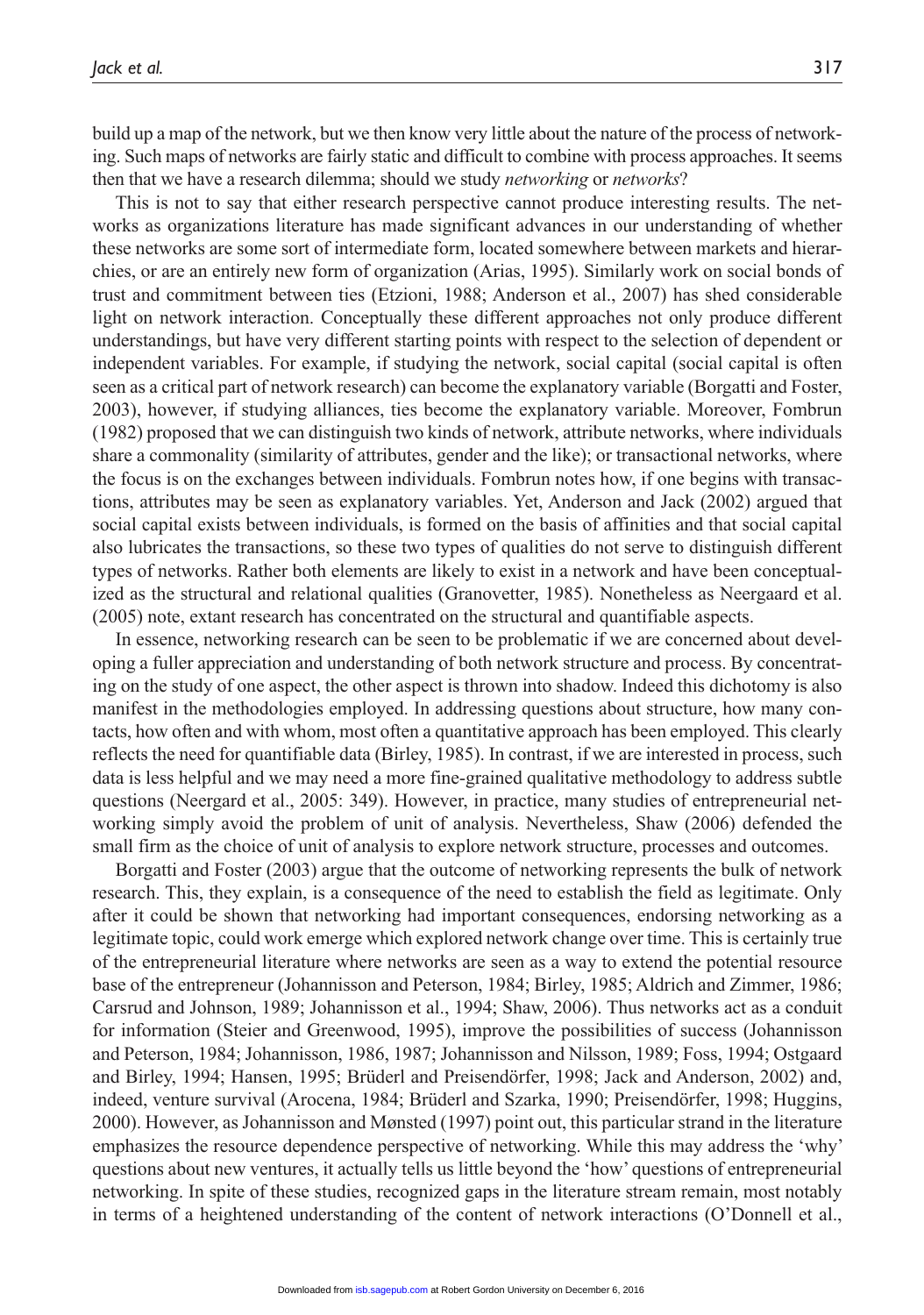build up a map of the network, but we then know very little about the nature of the process of networking. Such maps of networks are fairly static and difficult to combine with process approaches. It seems then that we have a research dilemma; should we study *networking* or *networks*?

This is not to say that either research perspective cannot produce interesting results. The networks as organizations literature has made significant advances in our understanding of whether these networks are some sort of intermediate form, located somewhere between markets and hierarchies, or are an entirely new form of organization (Arias, 1995). Similarly work on social bonds of trust and commitment between ties (Etzioni, 1988; Anderson et al., 2007) has shed considerable light on network interaction. Conceptually these different approaches not only produce different understandings, but have very different starting points with respect to the selection of dependent or independent variables. For example, if studying the network, social capital (social capital is often seen as a critical part of network research) can become the explanatory variable (Borgatti and Foster, 2003), however, if studying alliances, ties become the explanatory variable. Moreover, Fombrun (1982) proposed that we can distinguish two kinds of network, attribute networks, where individuals share a commonality (similarity of attributes, gender and the like); or transactional networks, where the focus is on the exchanges between individuals. Fombrun notes how, if one begins with transactions, attributes may be seen as explanatory variables. Yet, Anderson and Jack (2002) argued that social capital exists between individuals, is formed on the basis of affinities and that social capital also lubricates the transactions, so these two types of qualities do not serve to distinguish different types of networks. Rather both elements are likely to exist in a network and have been conceptualized as the structural and relational qualities (Granovetter, 1985). Nonetheless as Neergaard et al. (2005) note, extant research has concentrated on the structural and quantifiable aspects.

In essence, networking research can be seen to be problematic if we are concerned about developing a fuller appreciation and understanding of both network structure and process. By concentrating on the study of one aspect, the other aspect is thrown into shadow. Indeed this dichotomy is also manifest in the methodologies employed. In addressing questions about structure, how many contacts, how often and with whom, most often a quantitative approach has been employed. This clearly reflects the need for quantifiable data (Birley, 1985). In contrast, if we are interested in process, such data is less helpful and we may need a more fine-grained qualitative methodology to address subtle questions (Neergard et al., 2005: 349). However, in practice, many studies of entrepreneurial networking simply avoid the problem of unit of analysis. Nevertheless, Shaw (2006) defended the small firm as the choice of unit of analysis to explore network structure, processes and outcomes.

Borgatti and Foster (2003) argue that the outcome of networking represents the bulk of network research. This, they explain, is a consequence of the need to establish the field as legitimate. Only after it could be shown that networking had important consequences, endorsing networking as a legitimate topic, could work emerge which explored network change over time. This is certainly true of the entrepreneurial literature where networks are seen as a way to extend the potential resource base of the entrepreneur (Johannisson and Peterson, 1984; Birley, 1985; Aldrich and Zimmer, 1986; Carsrud and Johnson, 1989; Johannisson et al., 1994; Shaw, 2006). Thus networks act as a conduit for information (Steier and Greenwood, 1995), improve the possibilities of success (Johannisson and Peterson, 1984; Johannisson, 1986, 1987; Johannisson and Nilsson, 1989; Foss, 1994; Ostgaard and Birley, 1994; Hansen, 1995; Brüderl and Preisendörfer, 1998; Jack and Anderson, 2002) and, indeed, venture survival (Arocena, 1984; Brüderl and Szarka, 1990; Preisendörfer, 1998; Huggins, 2000). However, as Johannisson and Mønsted (1997) point out, this particular strand in the literature emphasizes the resource dependence perspective of networking. While this may address the 'why' questions about new ventures, it actually tells us little beyond the 'how' questions of entrepreneurial networking. In spite of these studies, recognized gaps in the literature stream remain, most notably in terms of a heightened understanding of the content of network interactions (O'Donnell et al.,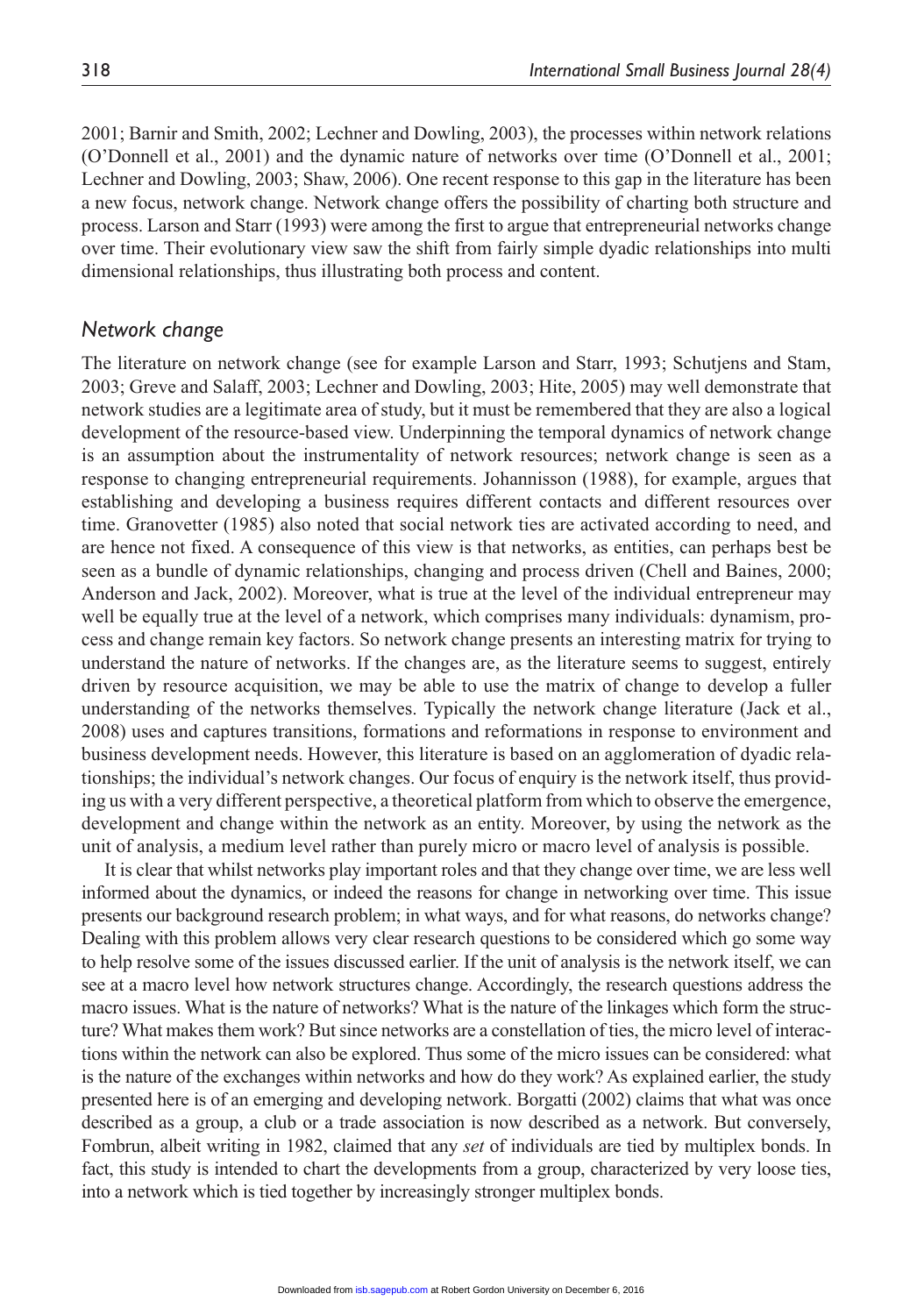2001; Barnir and Smith, 2002; Lechner and Dowling, 2003), the processes within network relations (O'Donnell et al., 2001) and the dynamic nature of networks over time (O'Donnell et al., 2001; Lechner and Dowling, 2003; Shaw, 2006). One recent response to this gap in the literature has been a new focus, network change. Network change offers the possibility of charting both structure and process. Larson and Starr (1993) were among the first to argue that entrepreneurial networks change over time. Their evolutionary view saw the shift from fairly simple dyadic relationships into multi dimensional relationships, thus illustrating both process and content.

# *Network change*

The literature on network change (see for example Larson and Starr, 1993; Schutjens and Stam, 2003; Greve and Salaff, 2003; Lechner and Dowling, 2003; Hite, 2005) may well demonstrate that network studies are a legitimate area of study, but it must be remembered that they are also a logical development of the resource-based view. Underpinning the temporal dynamics of network change is an assumption about the instrumentality of network resources; network change is seen as a response to changing entrepreneurial requirements. Johannisson (1988), for example, argues that establishing and developing a business requires different contacts and different resources over time. Granovetter (1985) also noted that social network ties are activated according to need, and are hence not fixed. A consequence of this view is that networks, as entities, can perhaps best be seen as a bundle of dynamic relationships, changing and process driven (Chell and Baines, 2000; Anderson and Jack, 2002). Moreover, what is true at the level of the individual entrepreneur may well be equally true at the level of a network, which comprises many individuals: dynamism, process and change remain key factors. So network change presents an interesting matrix for trying to understand the nature of networks. If the changes are, as the literature seems to suggest, entirely driven by resource acquisition, we may be able to use the matrix of change to develop a fuller understanding of the networks themselves. Typically the network change literature (Jack et al., 2008) uses and captures transitions, formations and reformations in response to environment and business development needs. However, this literature is based on an agglomeration of dyadic relationships; the individual's network changes. Our focus of enquiry is the network itself, thus providing us with a very different perspective, a theoretical platform from which to observe the emergence, development and change within the network as an entity. Moreover, by using the network as the unit of analysis, a medium level rather than purely micro or macro level of analysis is possible.

It is clear that whilst networks play important roles and that they change over time, we are less well informed about the dynamics, or indeed the reasons for change in networking over time. This issue presents our background research problem; in what ways, and for what reasons, do networks change? Dealing with this problem allows very clear research questions to be considered which go some way to help resolve some of the issues discussed earlier. If the unit of analysis is the network itself, we can see at a macro level how network structures change. Accordingly, the research questions address the macro issues. What is the nature of networks? What is the nature of the linkages which form the structure? What makes them work? But since networks are a constellation of ties, the micro level of interactions within the network can also be explored. Thus some of the micro issues can be considered: what is the nature of the exchanges within networks and how do they work? As explained earlier, the study presented here is of an emerging and developing network. Borgatti (2002) claims that what was once described as a group, a club or a trade association is now described as a network. But conversely, Fombrun, albeit writing in 1982, claimed that any *set* of individuals are tied by multiplex bonds. In fact, this study is intended to chart the developments from a group, characterized by very loose ties, into a network which is tied together by increasingly stronger multiplex bonds.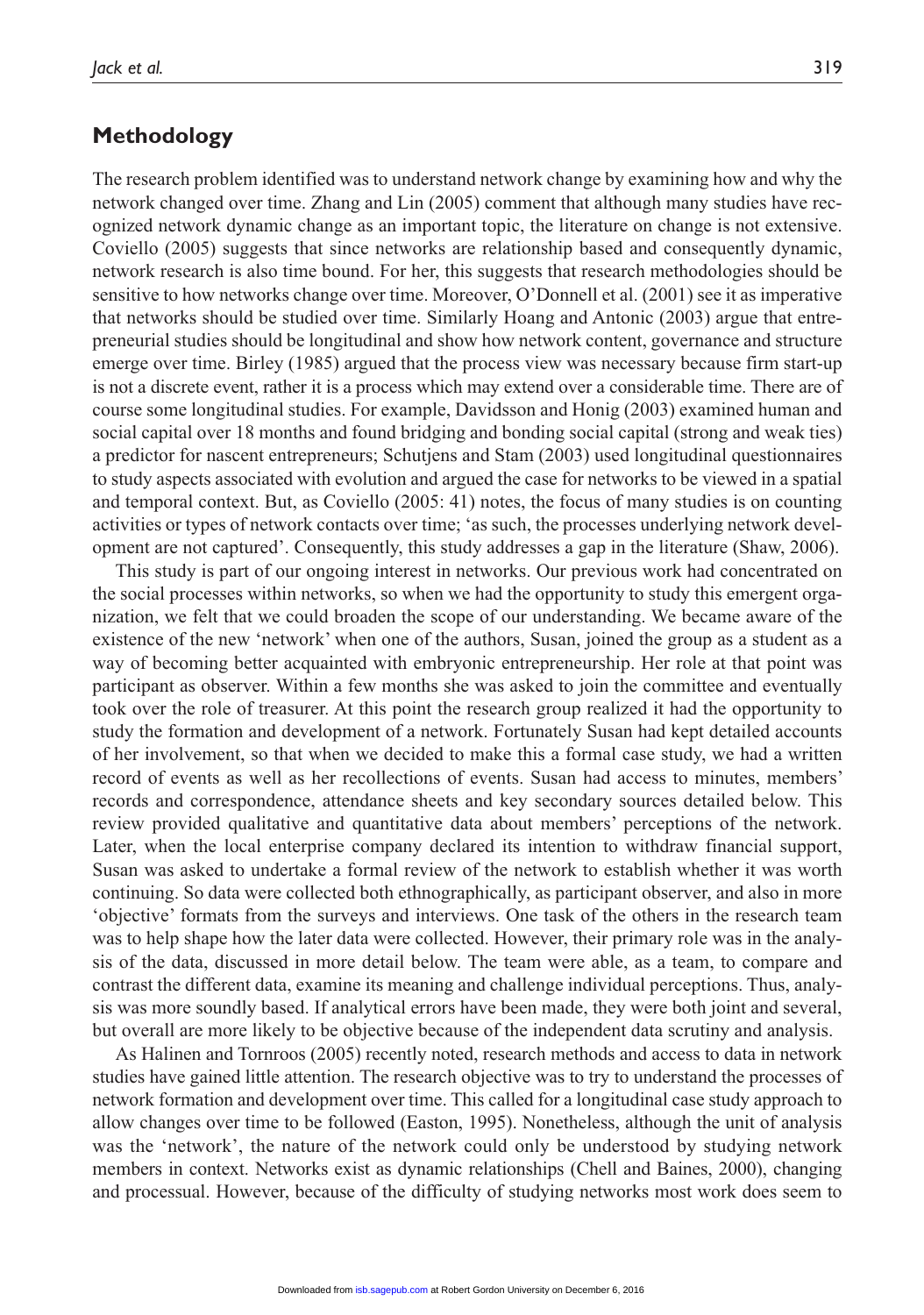# **Methodology**

The research problem identified was to understand network change by examining how and why the network changed over time. Zhang and Lin (2005) comment that although many studies have recognized network dynamic change as an important topic, the literature on change is not extensive. Coviello (2005) suggests that since networks are relationship based and consequently dynamic, network research is also time bound. For her, this suggests that research methodologies should be sensitive to how networks change over time. Moreover, O'Donnell et al. (2001) see it as imperative that networks should be studied over time. Similarly Hoang and Antonic (2003) argue that entrepreneurial studies should be longitudinal and show how network content, governance and structure emerge over time. Birley (1985) argued that the process view was necessary because firm start-up is not a discrete event, rather it is a process which may extend over a considerable time. There are of course some longitudinal studies. For example, Davidsson and Honig (2003) examined human and social capital over 18 months and found bridging and bonding social capital (strong and weak ties) a predictor for nascent entrepreneurs; Schutjens and Stam (2003) used longitudinal questionnaires to study aspects associated with evolution and argued the case for networks to be viewed in a spatial and temporal context. But, as Coviello (2005: 41) notes, the focus of many studies is on counting activities or types of network contacts over time; 'as such, the processes underlying network development are not captured'. Consequently, this study addresses a gap in the literature (Shaw, 2006).

This study is part of our ongoing interest in networks. Our previous work had concentrated on the social processes within networks, so when we had the opportunity to study this emergent organization, we felt that we could broaden the scope of our understanding. We became aware of the existence of the new 'network' when one of the authors, Susan, joined the group as a student as a way of becoming better acquainted with embryonic entrepreneurship. Her role at that point was participant as observer. Within a few months she was asked to join the committee and eventually took over the role of treasurer. At this point the research group realized it had the opportunity to study the formation and development of a network. Fortunately Susan had kept detailed accounts of her involvement, so that when we decided to make this a formal case study, we had a written record of events as well as her recollections of events. Susan had access to minutes, members' records and correspondence, attendance sheets and key secondary sources detailed below. This review provided qualitative and quantitative data about members' perceptions of the network. Later, when the local enterprise company declared its intention to withdraw financial support, Susan was asked to undertake a formal review of the network to establish whether it was worth continuing. So data were collected both ethnographically, as participant observer, and also in more 'objective' formats from the surveys and interviews. One task of the others in the research team was to help shape how the later data were collected. However, their primary role was in the analysis of the data, discussed in more detail below. The team were able, as a team, to compare and contrast the different data, examine its meaning and challenge individual perceptions. Thus, analysis was more soundly based. If analytical errors have been made, they were both joint and several, but overall are more likely to be objective because of the independent data scrutiny and analysis.

As Halinen and Tornroos (2005) recently noted, research methods and access to data in network studies have gained little attention. The research objective was to try to understand the processes of network formation and development over time. This called for a longitudinal case study approach to allow changes over time to be followed (Easton, 1995). Nonetheless, although the unit of analysis was the 'network', the nature of the network could only be understood by studying network members in context. Networks exist as dynamic relationships (Chell and Baines, 2000), changing and processual. However, because of the difficulty of studying networks most work does seem to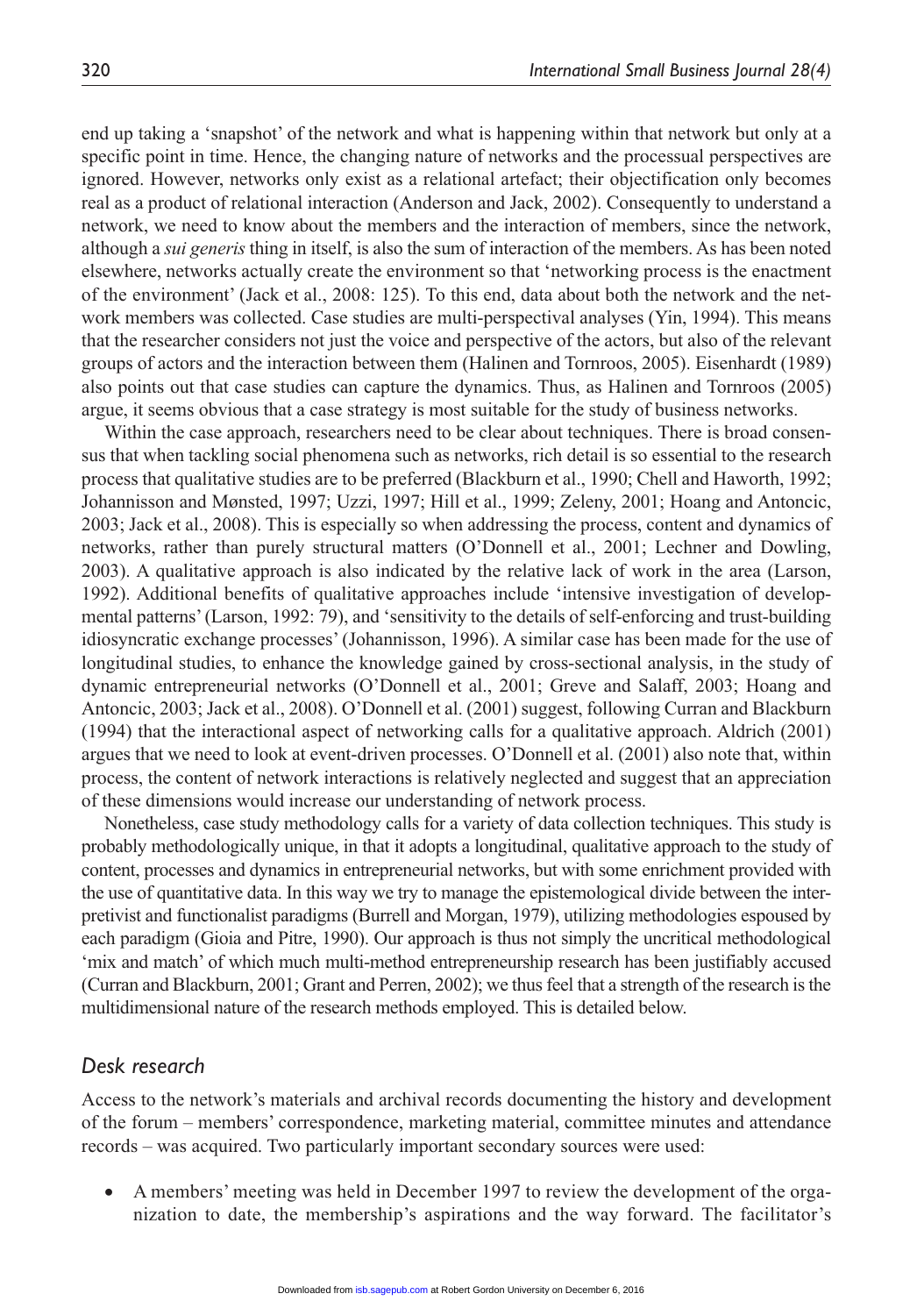end up taking a 'snapshot' of the network and what is happening within that network but only at a specific point in time. Hence, the changing nature of networks and the processual perspectives are ignored. However, networks only exist as a relational artefact; their objectification only becomes real as a product of relational interaction (Anderson and Jack, 2002). Consequently to understand a network, we need to know about the members and the interaction of members, since the network, although a *sui generis* thing in itself, is also the sum of interaction of the members. As has been noted elsewhere, networks actually create the environment so that 'networking process is the enactment of the environment' (Jack et al., 2008: 125). To this end, data about both the network and the network members was collected. Case studies are multi-perspectival analyses (Yin, 1994). This means that the researcher considers not just the voice and perspective of the actors, but also of the relevant groups of actors and the interaction between them (Halinen and Tornroos, 2005). Eisenhardt (1989) also points out that case studies can capture the dynamics. Thus, as Halinen and Tornroos (2005) argue, it seems obvious that a case strategy is most suitable for the study of business networks.

Within the case approach, researchers need to be clear about techniques. There is broad consensus that when tackling social phenomena such as networks, rich detail is so essential to the research process that qualitative studies are to be preferred (Blackburn et al., 1990; Chell and Haworth, 1992; Johannisson and Mønsted, 1997; Uzzi, 1997; Hill et al., 1999; Zeleny, 2001; Hoang and Antoncic, 2003; Jack et al., 2008). This is especially so when addressing the process, content and dynamics of networks, rather than purely structural matters (O'Donnell et al., 2001; Lechner and Dowling, 2003). A qualitative approach is also indicated by the relative lack of work in the area (Larson, 1992). Additional benefits of qualitative approaches include 'intensive investigation of developmental patterns' (Larson, 1992: 79), and 'sensitivity to the details of self-enforcing and trust-building idiosyncratic exchange processes' (Johannisson, 1996). A similar case has been made for the use of longitudinal studies, to enhance the knowledge gained by cross-sectional analysis, in the study of dynamic entrepreneurial networks (O'Donnell et al., 2001; Greve and Salaff, 2003; Hoang and Antoncic, 2003; Jack et al., 2008). O'Donnell et al. (2001) suggest, following Curran and Blackburn (1994) that the interactional aspect of networking calls for a qualitative approach. Aldrich (2001) argues that we need to look at event-driven processes. O'Donnell et al. (2001) also note that, within process, the content of network interactions is relatively neglected and suggest that an appreciation of these dimensions would increase our understanding of network process.

Nonetheless, case study methodology calls for a variety of data collection techniques. This study is probably methodologically unique, in that it adopts a longitudinal, qualitative approach to the study of content, processes and dynamics in entrepreneurial networks, but with some enrichment provided with the use of quantitative data. In this way we try to manage the epistemological divide between the interpretivist and functionalist paradigms (Burrell and Morgan, 1979), utilizing methodologies espoused by each paradigm (Gioia and Pitre, 1990). Our approach is thus not simply the uncritical methodological 'mix and match' of which much multi-method entrepreneurship research has been justifiably accused (Curran and Blackburn, 2001; Grant and Perren, 2002); we thus feel that a strength of the research is the multidimensional nature of the research methods employed. This is detailed below.

# *Desk research*

Access to the network's materials and archival records documenting the history and development of the forum – members' correspondence, marketing material, committee minutes and attendance records – was acquired. Two particularly important secondary sources were used:

• A members' meeting was held in December 1997 to review the development of the organization to date, the membership's aspirations and the way forward. The facilitator's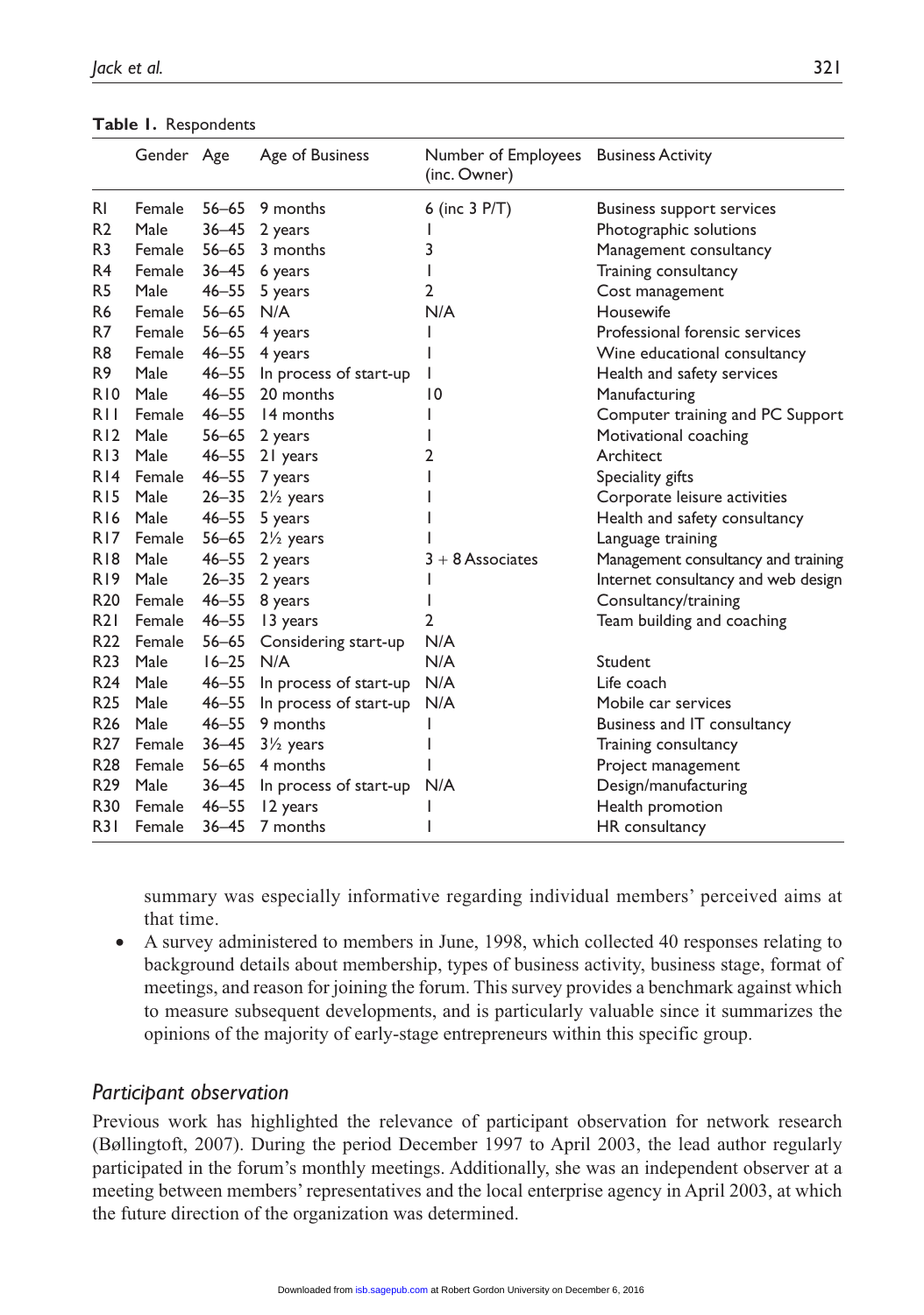|                 | Gender Age           |           | Age of Business              | Number of Employees Business Activity<br>(inc. Owner) |                                     |
|-----------------|----------------------|-----------|------------------------------|-------------------------------------------------------|-------------------------------------|
| RI.             | Female               | $56 - 65$ | 9 months                     | 6 (inc $3$ P/T)                                       | <b>Business support services</b>    |
| R <sub>2</sub>  | Male                 | 36–45     | 2 years                      |                                                       | Photographic solutions              |
| R <sub>3</sub>  | Female               |           | $56 - 65$ 3 months           | 3                                                     | Management consultancy              |
| R <sub>4</sub>  | Female 36-45 6 years |           |                              |                                                       | Training consultancy                |
| R <sub>5</sub>  | Male                 |           | 46-55 5 years                | $\overline{2}$                                        | Cost management                     |
| R6              | Female 56–65         |           | N/A                          | N/A                                                   | Housewife                           |
| R7              | Female               | 56–65     | 4 years                      |                                                       | Professional forensic services      |
| R8              | Female               | 46–55     | 4 years                      |                                                       | Wine educational consultancy        |
| R9              | Male                 |           | 46-55 In process of start-up |                                                       | Health and safety services          |
| R <sub>10</sub> | Male                 |           | 46-55 20 months              | $\overline{0}$                                        | Manufacturing                       |
| RII             |                      |           | Female 46-55 14 months       |                                                       | Computer training and PC Support    |
| R12             | Male                 |           | 56-65 2 years                |                                                       | Motivational coaching               |
| R13             | Male                 | 46–55     | 21 years                     | 2                                                     | Architect                           |
| R <sub>14</sub> | Female               | $46 - 55$ | 7 years                      |                                                       | Speciality gifts                    |
| <b>R15</b>      | Male                 | $26 - 35$ | $2\frac{1}{2}$ years         |                                                       | Corporate leisure activities        |
| <b>R16</b>      | Male                 |           | 46-55 5 years                |                                                       | Health and safety consultancy       |
| R <sub>17</sub> | Female               |           | 56-65 21/2 years             |                                                       | Language training                   |
| R18             | Male                 | $46 - 55$ | 2 years                      | $3 + 8$ Associates                                    | Management consultancy and training |
| R <sub>19</sub> | Male                 | $26 - 35$ | 2 years                      |                                                       | Internet consultancy and web design |
| R <sub>20</sub> | Female               | $46 - 55$ | 8 years                      |                                                       | Consultancy/training                |
| R21             | Female               | $46 - 55$ | 13 years                     | 2                                                     | Team building and coaching          |
|                 | R22 Female           |           | 56-65 Considering start-up   | N/A                                                   |                                     |
|                 | R23 Male             | $16 - 25$ | N/A                          | N/A                                                   | Student                             |
| R <sub>24</sub> | Male                 |           | 46-55 In process of start-up | N/A                                                   | Life coach                          |
| R <sub>25</sub> | Male                 |           | 46-55 In process of start-up | N/A                                                   | Mobile car services                 |
| R <sub>26</sub> | Male                 |           | 46-55 9 months               |                                                       | Business and IT consultancy         |
| R27             | Female               |           | 36-45 31/2 years             |                                                       | Training consultancy                |
|                 |                      |           | R28 Female 56–65 4 months    |                                                       | Project management                  |
| R <sub>29</sub> | Male                 |           | 36-45 In process of start-up | N/A                                                   | Design/manufacturing                |
| R30             | Female               | $46 - 55$ | 12 years                     |                                                       | Health promotion                    |
| R <sub>3</sub>  | Female               | $36 - 45$ | 7 months                     |                                                       | HR consultancy                      |

#### **Table 1.** Respondents

summary was especially informative regarding individual members' perceived aims at that time.

• A survey administered to members in June, 1998, which collected 40 responses relating to background details about membership, types of business activity, business stage, format of meetings, and reason for joining the forum. This survey provides a benchmark against which to measure subsequent developments, and is particularly valuable since it summarizes the opinions of the majority of early-stage entrepreneurs within this specific group.

# *Participant observation*

Previous work has highlighted the relevance of participant observation for network research (Bøllingtoft, 2007). During the period December 1997 to April 2003, the lead author regularly participated in the forum's monthly meetings. Additionally, she was an independent observer at a meeting between members' representatives and the local enterprise agency in April 2003, at which the future direction of the organization was determined.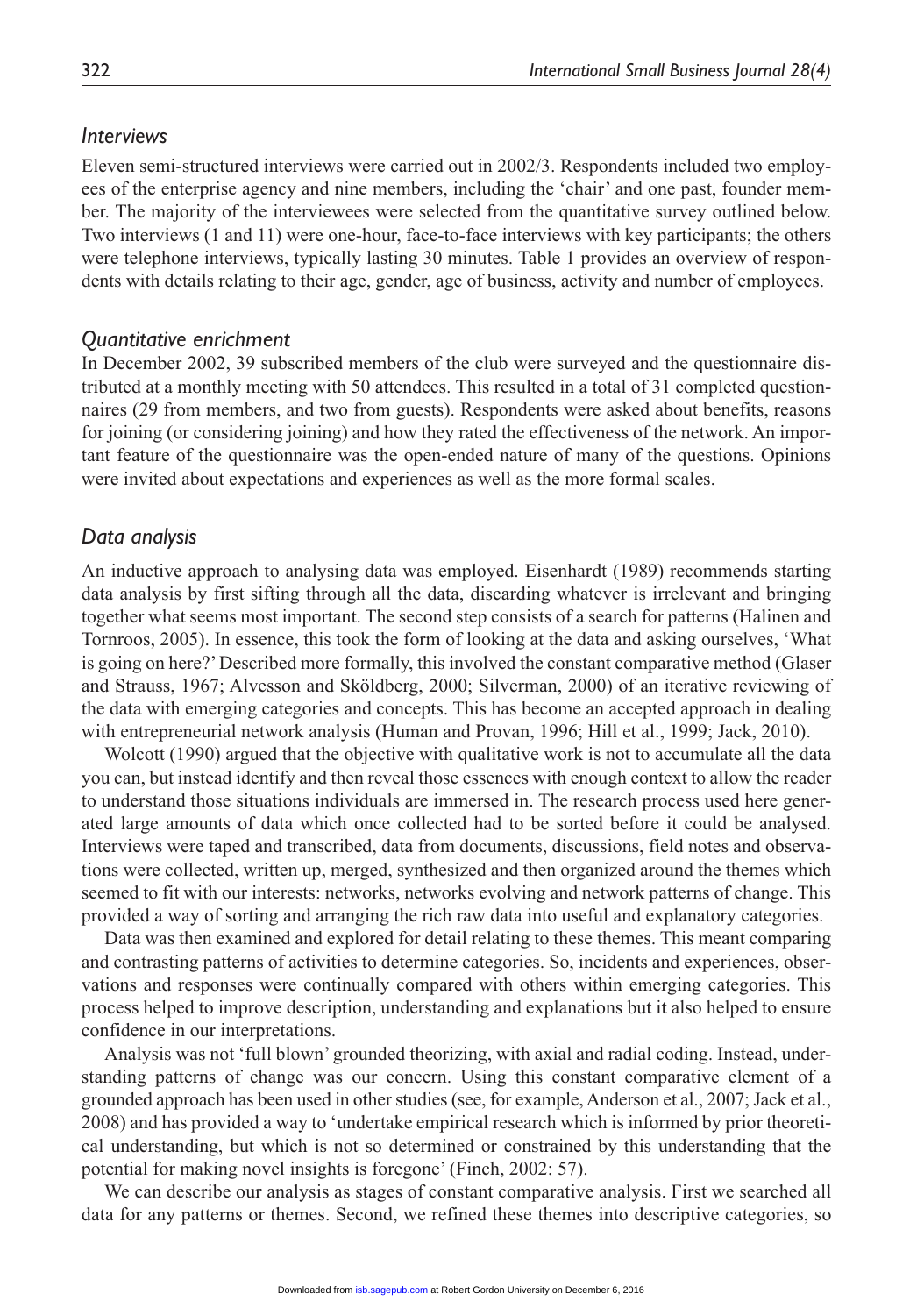# *Interviews*

Eleven semi-structured interviews were carried out in 2002/3. Respondents included two employees of the enterprise agency and nine members, including the 'chair' and one past, founder member. The majority of the interviewees were selected from the quantitative survey outlined below. Two interviews (1 and 11) were one-hour, face-to-face interviews with key participants; the others were telephone interviews, typically lasting 30 minutes. Table 1 provides an overview of respondents with details relating to their age, gender, age of business, activity and number of employees.

#### *Quantitative enrichment*

In December 2002, 39 subscribed members of the club were surveyed and the questionnaire distributed at a monthly meeting with 50 attendees. This resulted in a total of 31 completed questionnaires (29 from members, and two from guests). Respondents were asked about benefits, reasons for joining (or considering joining) and how they rated the effectiveness of the network. An important feature of the questionnaire was the open-ended nature of many of the questions. Opinions were invited about expectations and experiences as well as the more formal scales.

#### *Data analysis*

An inductive approach to analysing data was employed. Eisenhardt (1989) recommends starting data analysis by first sifting through all the data, discarding whatever is irrelevant and bringing together what seems most important. The second step consists of a search for patterns (Halinen and Tornroos, 2005). In essence, this took the form of looking at the data and asking ourselves, 'What is going on here?' Described more formally, this involved the constant comparative method (Glaser and Strauss, 1967; Alvesson and Sköldberg, 2000; Silverman, 2000) of an iterative reviewing of the data with emerging categories and concepts. This has become an accepted approach in dealing with entrepreneurial network analysis (Human and Provan, 1996; Hill et al., 1999; Jack, 2010).

Wolcott (1990) argued that the objective with qualitative work is not to accumulate all the data you can, but instead identify and then reveal those essences with enough context to allow the reader to understand those situations individuals are immersed in. The research process used here generated large amounts of data which once collected had to be sorted before it could be analysed. Interviews were taped and transcribed, data from documents, discussions, field notes and observations were collected, written up, merged, synthesized and then organized around the themes which seemed to fit with our interests: networks, networks evolving and network patterns of change. This provided a way of sorting and arranging the rich raw data into useful and explanatory categories.

Data was then examined and explored for detail relating to these themes. This meant comparing and contrasting patterns of activities to determine categories. So, incidents and experiences, observations and responses were continually compared with others within emerging categories. This process helped to improve description, understanding and explanations but it also helped to ensure confidence in our interpretations.

Analysis was not 'full blown' grounded theorizing, with axial and radial coding. Instead, understanding patterns of change was our concern. Using this constant comparative element of a grounded approach has been used in other studies (see, for example, Anderson et al., 2007; Jack et al., 2008) and has provided a way to 'undertake empirical research which is informed by prior theoretical understanding, but which is not so determined or constrained by this understanding that the potential for making novel insights is foregone' (Finch, 2002: 57).

We can describe our analysis as stages of constant comparative analysis. First we searched all data for any patterns or themes. Second, we refined these themes into descriptive categories, so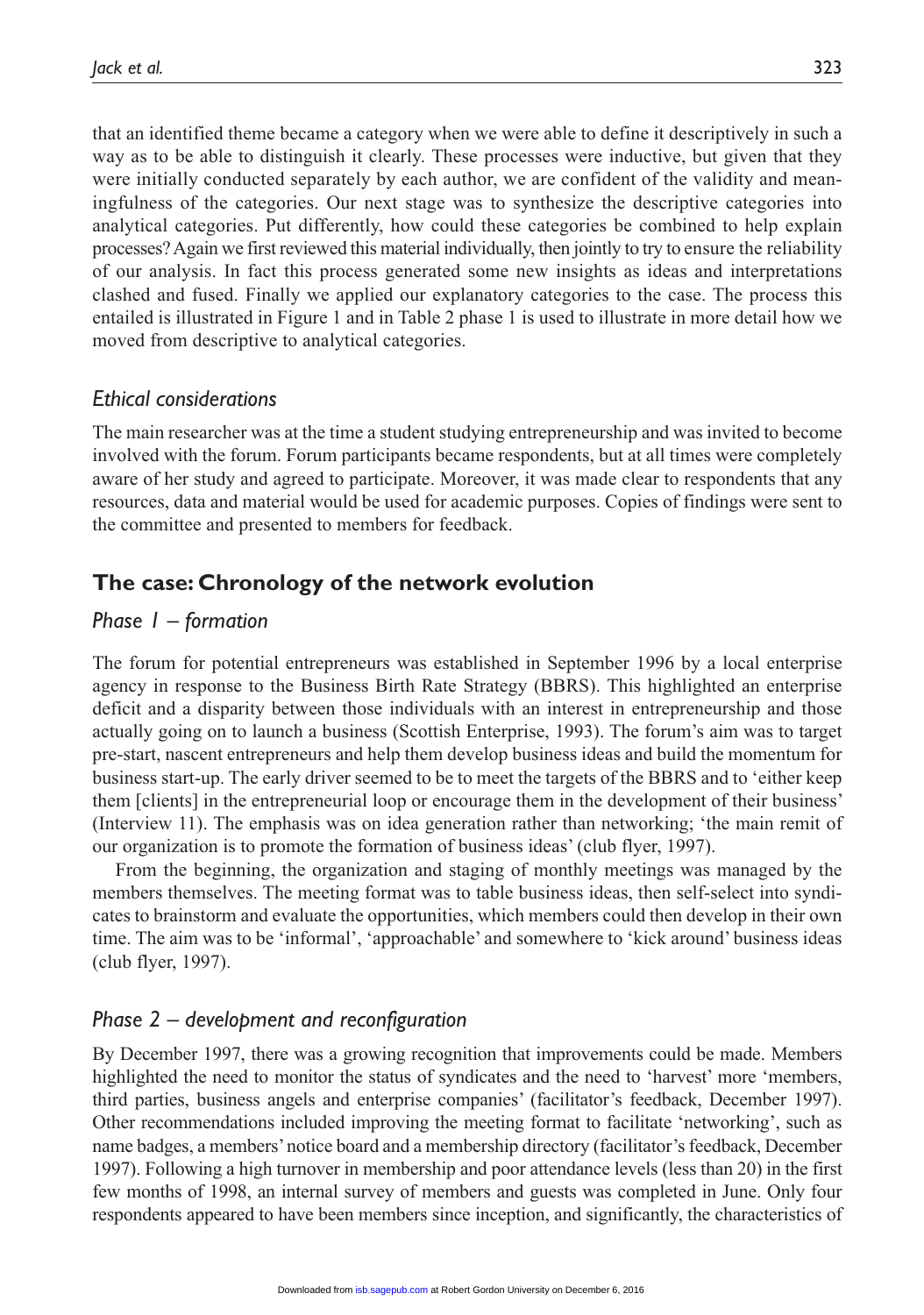that an identified theme became a category when we were able to define it descriptively in such a way as to be able to distinguish it clearly. These processes were inductive, but given that they were initially conducted separately by each author, we are confident of the validity and meaningfulness of the categories. Our next stage was to synthesize the descriptive categories into analytical categories. Put differently, how could these categories be combined to help explain processes? Again we first reviewed this material individually, then jointly to try to ensure the reliability of our analysis. In fact this process generated some new insights as ideas and interpretations clashed and fused. Finally we applied our explanatory categories to the case. The process this entailed is illustrated in Figure 1 and in Table 2 phase 1 is used to illustrate in more detail how we moved from descriptive to analytical categories.

# *Ethical considerations*

The main researcher was at the time a student studying entrepreneurship and was invited to become involved with the forum. Forum participants became respondents, but at all times were completely aware of her study and agreed to participate. Moreover, it was made clear to respondents that any resources, data and material would be used for academic purposes. Copies of findings were sent to the committee and presented to members for feedback.

# **The case: Chronology of the network evolution**

# *Phase 1 – formation*

The forum for potential entrepreneurs was established in September 1996 by a local enterprise agency in response to the Business Birth Rate Strategy (BBRS). This highlighted an enterprise deficit and a disparity between those individuals with an interest in entrepreneurship and those actually going on to launch a business (Scottish Enterprise, 1993). The forum's aim was to target pre-start, nascent entrepreneurs and help them develop business ideas and build the momentum for business start-up. The early driver seemed to be to meet the targets of the BBRS and to 'either keep them [clients] in the entrepreneurial loop or encourage them in the development of their business' (Interview 11). The emphasis was on idea generation rather than networking; 'the main remit of our organization is to promote the formation of business ideas' (club flyer, 1997).

From the beginning, the organization and staging of monthly meetings was managed by the members themselves. The meeting format was to table business ideas, then self-select into syndicates to brainstorm and evaluate the opportunities, which members could then develop in their own time. The aim was to be 'informal', 'approachable' and somewhere to 'kick around' business ideas (club flyer, 1997).

# *Phase 2 – development and reconfiguration*

By December 1997, there was a growing recognition that improvements could be made. Members highlighted the need to monitor the status of syndicates and the need to 'harvest' more 'members, third parties, business angels and enterprise companies' (facilitator's feedback, December 1997). Other recommendations included improving the meeting format to facilitate 'networking', such as name badges, a members' notice board and a membership directory (facilitator's feedback, December 1997). Following a high turnover in membership and poor attendance levels (less than 20) in the first few months of 1998, an internal survey of members and guests was completed in June. Only four respondents appeared to have been members since inception, and significantly, the characteristics of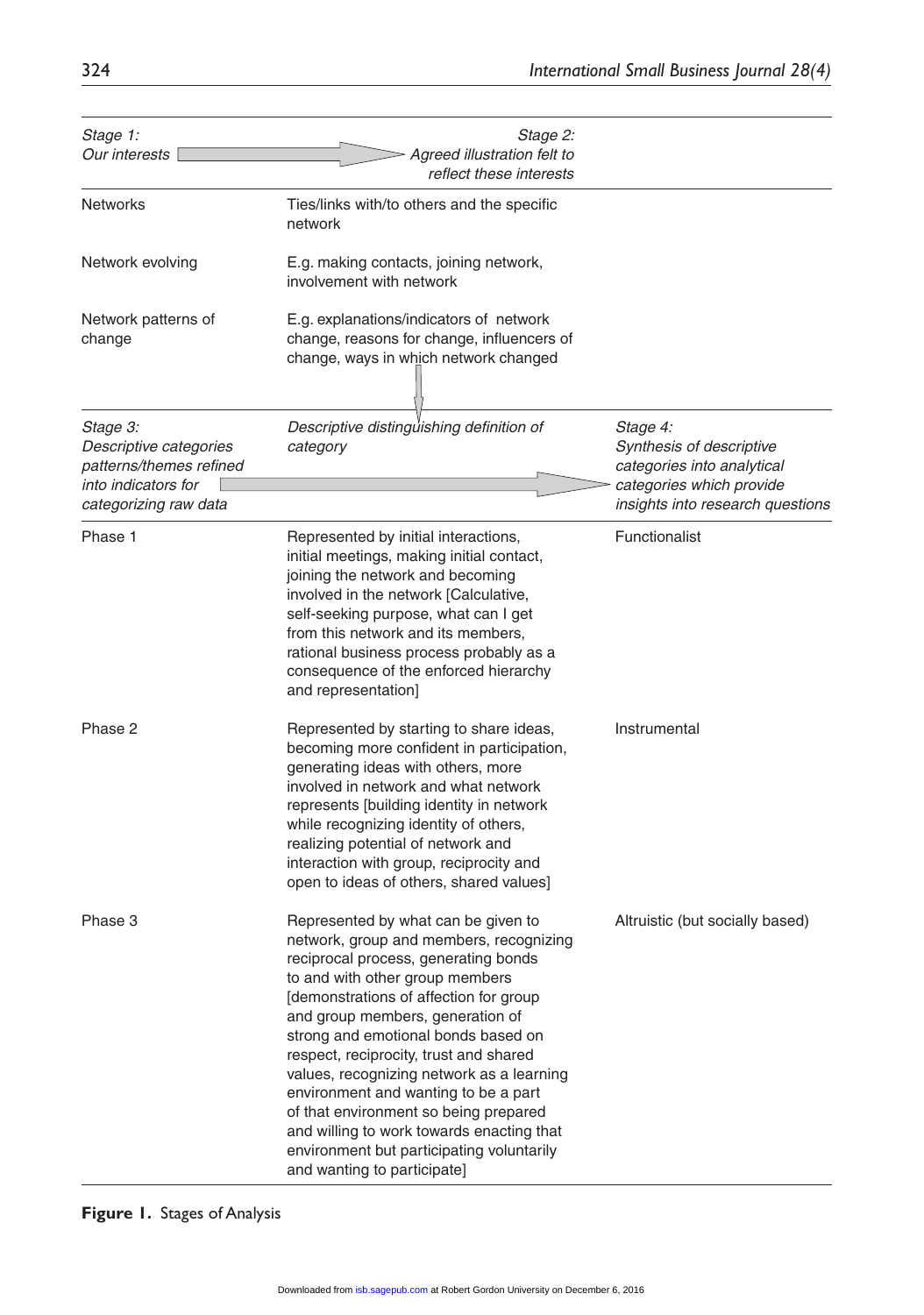| Stage 1:<br>Our interests                                                                                     | Stage 2:<br>Agreed illustration felt to<br>reflect these interests                                                                                                                                                                                                                                                                                                                                                                                                                                                                                                              |                                                                                                                                    |
|---------------------------------------------------------------------------------------------------------------|---------------------------------------------------------------------------------------------------------------------------------------------------------------------------------------------------------------------------------------------------------------------------------------------------------------------------------------------------------------------------------------------------------------------------------------------------------------------------------------------------------------------------------------------------------------------------------|------------------------------------------------------------------------------------------------------------------------------------|
| <b>Networks</b>                                                                                               | Ties/links with/to others and the specific<br>network                                                                                                                                                                                                                                                                                                                                                                                                                                                                                                                           |                                                                                                                                    |
| Network evolving                                                                                              | E.g. making contacts, joining network,<br>involvement with network                                                                                                                                                                                                                                                                                                                                                                                                                                                                                                              |                                                                                                                                    |
| Network patterns of<br>change                                                                                 | E.g. explanations/indicators of network<br>change, reasons for change, influencers of<br>change, ways in which network changed                                                                                                                                                                                                                                                                                                                                                                                                                                                  |                                                                                                                                    |
| Stage 3:<br>Descriptive categories<br>patterns/themes refined<br>into indicators for<br>categorizing raw data | Descriptive distinguishing definition of<br>category                                                                                                                                                                                                                                                                                                                                                                                                                                                                                                                            | Stage 4:<br>Synthesis of descriptive<br>categories into analytical<br>categories which provide<br>insights into research questions |
| Phase 1                                                                                                       | Represented by initial interactions,<br>initial meetings, making initial contact,<br>joining the network and becoming<br>involved in the network [Calculative,<br>self-seeking purpose, what can I get<br>from this network and its members,<br>rational business process probably as a<br>consequence of the enforced hierarchy<br>and representation]                                                                                                                                                                                                                         | Functionalist                                                                                                                      |
| Phase 2                                                                                                       | Represented by starting to share ideas,<br>becoming more confident in participation,<br>generating ideas with others, more<br>involved in network and what network<br>represents [building identity in network<br>while recognizing identity of others,<br>realizing potential of network and<br>interaction with group, reciprocity and<br>open to ideas of others, shared values]                                                                                                                                                                                             | Instrumental                                                                                                                       |
| Phase 3                                                                                                       | Represented by what can be given to<br>network, group and members, recognizing<br>reciprocal process, generating bonds<br>to and with other group members<br>[demonstrations of affection for group<br>and group members, generation of<br>strong and emotional bonds based on<br>respect, reciprocity, trust and shared<br>values, recognizing network as a learning<br>environment and wanting to be a part<br>of that environment so being prepared<br>and willing to work towards enacting that<br>environment but participating voluntarily<br>and wanting to participate] | Altruistic (but socially based)                                                                                                    |

# **Figure 1.** Stages of Analysis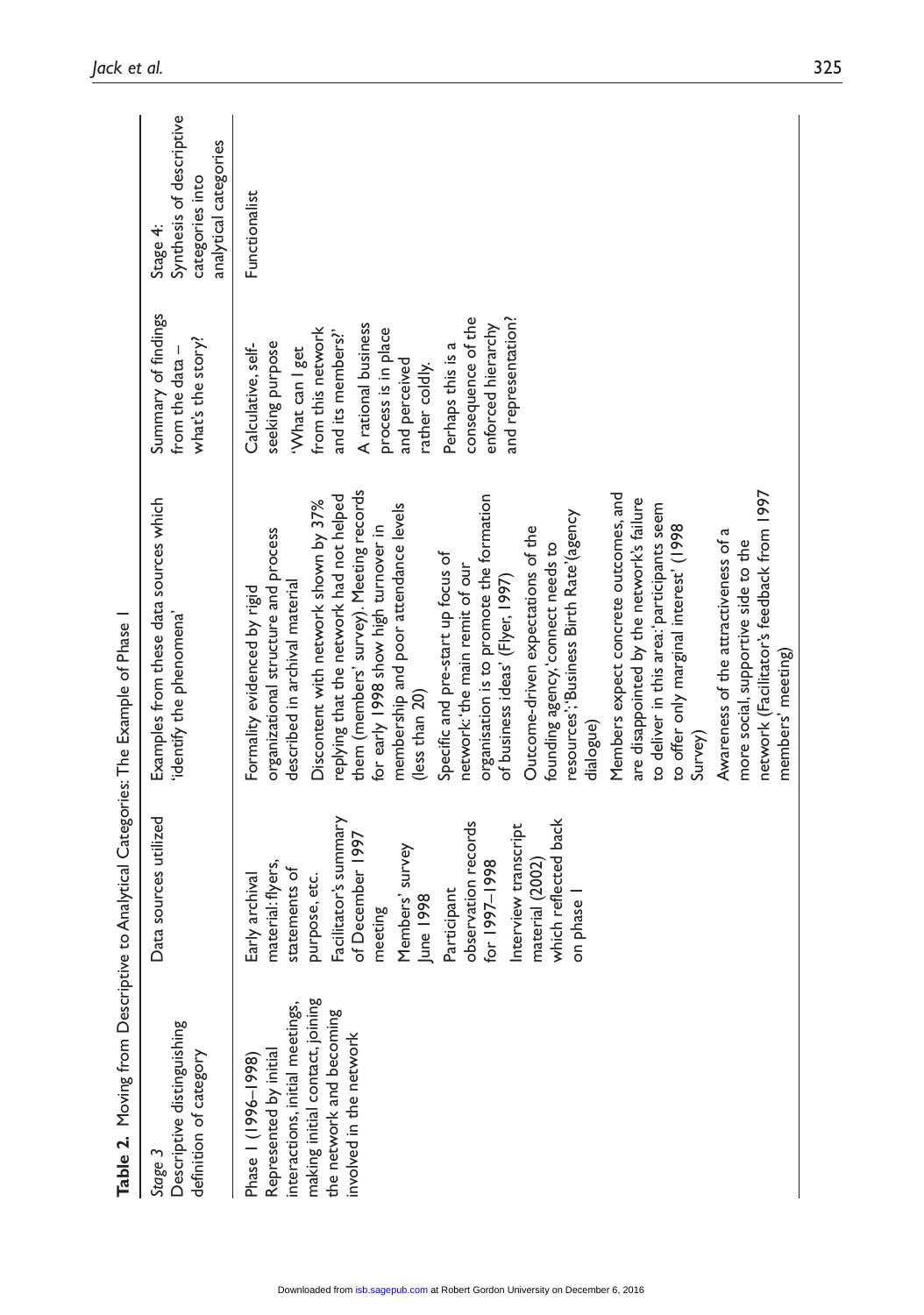| Table 2. Moving from Descriptive to Analytical Categories: The Example of Phase I                                                                                          |                                                                                                                                                                                                                                                                                                       |                                                                                                                                                                                                                                                                                                                                                                                                                                                                                                                                                                                                                                                                                                                                                                                                                                                                                                                                                                                  |                                                                                                                                                                                                                                                                            |                                                                                  |
|----------------------------------------------------------------------------------------------------------------------------------------------------------------------------|-------------------------------------------------------------------------------------------------------------------------------------------------------------------------------------------------------------------------------------------------------------------------------------------------------|----------------------------------------------------------------------------------------------------------------------------------------------------------------------------------------------------------------------------------------------------------------------------------------------------------------------------------------------------------------------------------------------------------------------------------------------------------------------------------------------------------------------------------------------------------------------------------------------------------------------------------------------------------------------------------------------------------------------------------------------------------------------------------------------------------------------------------------------------------------------------------------------------------------------------------------------------------------------------------|----------------------------------------------------------------------------------------------------------------------------------------------------------------------------------------------------------------------------------------------------------------------------|----------------------------------------------------------------------------------|
| Descriptive distinguishing<br>definition of category<br>Stage 3                                                                                                            | Data sources utilized                                                                                                                                                                                                                                                                                 | Examples from these data sources which<br>'identify the phenomena'                                                                                                                                                                                                                                                                                                                                                                                                                                                                                                                                                                                                                                                                                                                                                                                                                                                                                                               | Summary of findings<br>what's the story?<br>from the data -                                                                                                                                                                                                                | Synthesis of descriptive<br>analytical categories<br>categories into<br>Stage 4: |
| making initial contact, joining<br>interactions, initial meetings,<br>the network and becoming<br>involved in the network<br>Represented by initial<br>Phase 1 (1996-1998) | Facilitator's summary<br>which reflected back<br>observation records<br>Interview transcript<br>of December 1997<br>Members' survey<br>for 1997-1998<br>material (2002)<br>material: flyers,<br>statements of<br>Early archival<br>purpose, etc.<br>Participant<br>on phase 1<br>June 1998<br>meeting | them (members' survey). Meeting records<br>network (Facilitator's feedback from 1997<br>Members expect concrete outcomes, and<br>replying that the network had not helped<br>organisation is to promote the formation<br>are disappointed by the network's failure<br>Discontent with network shown by 37%<br>membership and poor attendance levels<br>to deliver in this area: participants seem<br>resources'; 'Business Birth Rate' (agency<br>for early 1998 show high turnover in<br>to offer only marginal interest' (1998<br>Outcome-driven expectations of the<br>organizational structure and process<br>Awareness of the attractiveness of a<br>more social, supportive side to the<br>founding agency, connect needs to<br>Specific and pre-start up focus of<br>network: 'the main remit of our<br>of business ideas' (Flyer, 1997)<br>described in archival material<br>Formality evidenced by rigid<br>members' meeting)<br>(less than 20)<br>dialogue)<br>Survey) | and representation?<br>consequence of the<br>A rational business<br>enforced hierarchy<br>from this network<br>process is in place<br>and its members?<br>seeking purpose<br>Calculative, self-<br>Perhaps this is a<br>'What can I get<br>and perceived<br>rather coldly. | Functionalist                                                                    |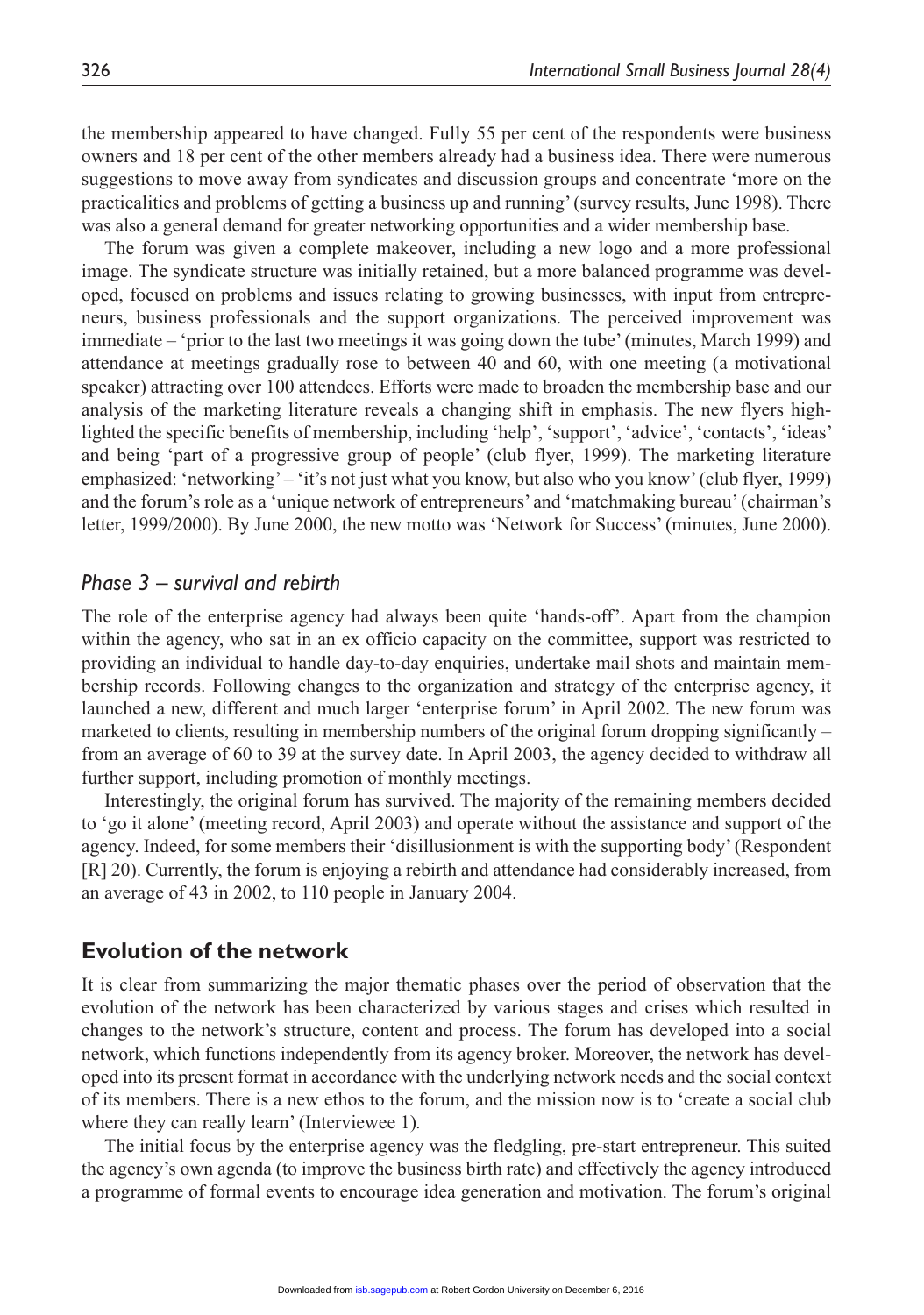the membership appeared to have changed. Fully 55 per cent of the respondents were business owners and 18 per cent of the other members already had a business idea. There were numerous suggestions to move away from syndicates and discussion groups and concentrate 'more on the practicalities and problems of getting a business up and running' (survey results, June 1998). There was also a general demand for greater networking opportunities and a wider membership base.

The forum was given a complete makeover, including a new logo and a more professional image. The syndicate structure was initially retained, but a more balanced programme was developed, focused on problems and issues relating to growing businesses, with input from entrepreneurs, business professionals and the support organizations. The perceived improvement was immediate – 'prior to the last two meetings it was going down the tube' (minutes, March 1999) and attendance at meetings gradually rose to between 40 and 60, with one meeting (a motivational speaker) attracting over 100 attendees. Efforts were made to broaden the membership base and our analysis of the marketing literature reveals a changing shift in emphasis. The new flyers highlighted the specific benefits of membership, including 'help', 'support', 'advice', 'contacts', 'ideas' and being 'part of a progressive group of people' (club flyer, 1999). The marketing literature emphasized: 'networking' – 'it's not just what you know, but also who you know' (club flyer, 1999) and the forum's role as a 'unique network of entrepreneurs' and 'matchmaking bureau' (chairman's letter, 1999/2000). By June 2000, the new motto was 'Network for Success' (minutes, June 2000).

### *Phase 3 – survival and rebirth*

The role of the enterprise agency had always been quite 'hands-off'. Apart from the champion within the agency, who sat in an ex officio capacity on the committee, support was restricted to providing an individual to handle day-to-day enquiries, undertake mail shots and maintain membership records. Following changes to the organization and strategy of the enterprise agency, it launched a new, different and much larger 'enterprise forum' in April 2002. The new forum was marketed to clients, resulting in membership numbers of the original forum dropping significantly – from an average of 60 to 39 at the survey date. In April 2003, the agency decided to withdraw all further support, including promotion of monthly meetings.

Interestingly, the original forum has survived. The majority of the remaining members decided to 'go it alone' (meeting record, April 2003) and operate without the assistance and support of the agency. Indeed, for some members their 'disillusionment is with the supporting body' (Respondent [R] 20). Currently, the forum is enjoying a rebirth and attendance had considerably increased, from an average of 43 in 2002, to 110 people in January 2004.

# **Evolution of the network**

It is clear from summarizing the major thematic phases over the period of observation that the evolution of the network has been characterized by various stages and crises which resulted in changes to the network's structure, content and process. The forum has developed into a social network, which functions independently from its agency broker. Moreover, the network has developed into its present format in accordance with the underlying network needs and the social context of its members. There is a new ethos to the forum, and the mission now is to 'create a social club where they can really learn' (Interviewee 1).

The initial focus by the enterprise agency was the fledgling, pre-start entrepreneur. This suited the agency's own agenda (to improve the business birth rate) and effectively the agency introduced a programme of formal events to encourage idea generation and motivation. The forum's original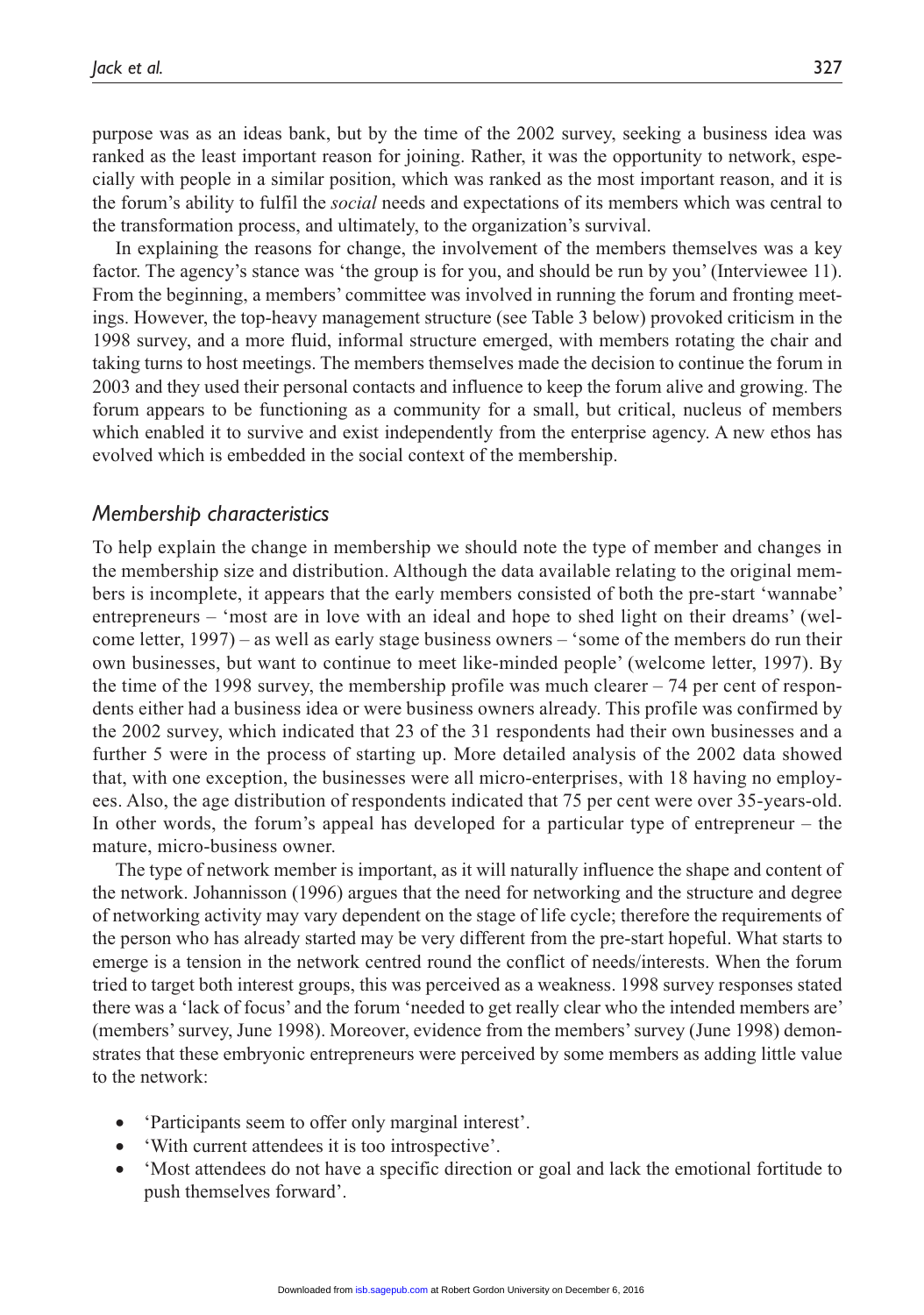purpose was as an ideas bank, but by the time of the 2002 survey, seeking a business idea was ranked as the least important reason for joining. Rather, it was the opportunity to network, especially with people in a similar position, which was ranked as the most important reason, and it is the forum's ability to fulfil the *social* needs and expectations of its members which was central to the transformation process, and ultimately, to the organization's survival.

In explaining the reasons for change, the involvement of the members themselves was a key factor. The agency's stance was 'the group is for you, and should be run by you' (Interviewee 11). From the beginning, a members' committee was involved in running the forum and fronting meetings. However, the top-heavy management structure (see Table 3 below) provoked criticism in the 1998 survey, and a more fluid, informal structure emerged, with members rotating the chair and taking turns to host meetings. The members themselves made the decision to continue the forum in 2003 and they used their personal contacts and influence to keep the forum alive and growing. The forum appears to be functioning as a community for a small, but critical, nucleus of members which enabled it to survive and exist independently from the enterprise agency. A new ethos has evolved which is embedded in the social context of the membership.

### *Membership characteristics*

To help explain the change in membership we should note the type of member and changes in the membership size and distribution. Although the data available relating to the original members is incomplete, it appears that the early members consisted of both the pre-start 'wannabe' entrepreneurs – 'most are in love with an ideal and hope to shed light on their dreams' (welcome letter, 1997) – as well as early stage business owners – 'some of the members do run their own businesses, but want to continue to meet like-minded people' (welcome letter, 1997). By the time of the 1998 survey, the membership profile was much clearer  $-74$  per cent of respondents either had a business idea or were business owners already. This profile was confirmed by the 2002 survey, which indicated that 23 of the 31 respondents had their own businesses and a further 5 were in the process of starting up. More detailed analysis of the 2002 data showed that, with one exception, the businesses were all micro-enterprises, with 18 having no employees. Also, the age distribution of respondents indicated that 75 per cent were over 35-years-old. In other words, the forum's appeal has developed for a particular type of entrepreneur – the mature, micro-business owner.

The type of network member is important, as it will naturally influence the shape and content of the network. Johannisson (1996) argues that the need for networking and the structure and degree of networking activity may vary dependent on the stage of life cycle; therefore the requirements of the person who has already started may be very different from the pre-start hopeful. What starts to emerge is a tension in the network centred round the conflict of needs/interests. When the forum tried to target both interest groups, this was perceived as a weakness. 1998 survey responses stated there was a 'lack of focus' and the forum 'needed to get really clear who the intended members are' (members' survey, June 1998). Moreover, evidence from the members' survey (June 1998) demonstrates that these embryonic entrepreneurs were perceived by some members as adding little value to the network:

- 'Participants seem to offer only marginal interest'.
- 'With current attendees it is too introspective'.
- 'Most attendees do not have a specific direction or goal and lack the emotional fortitude to push themselves forward'.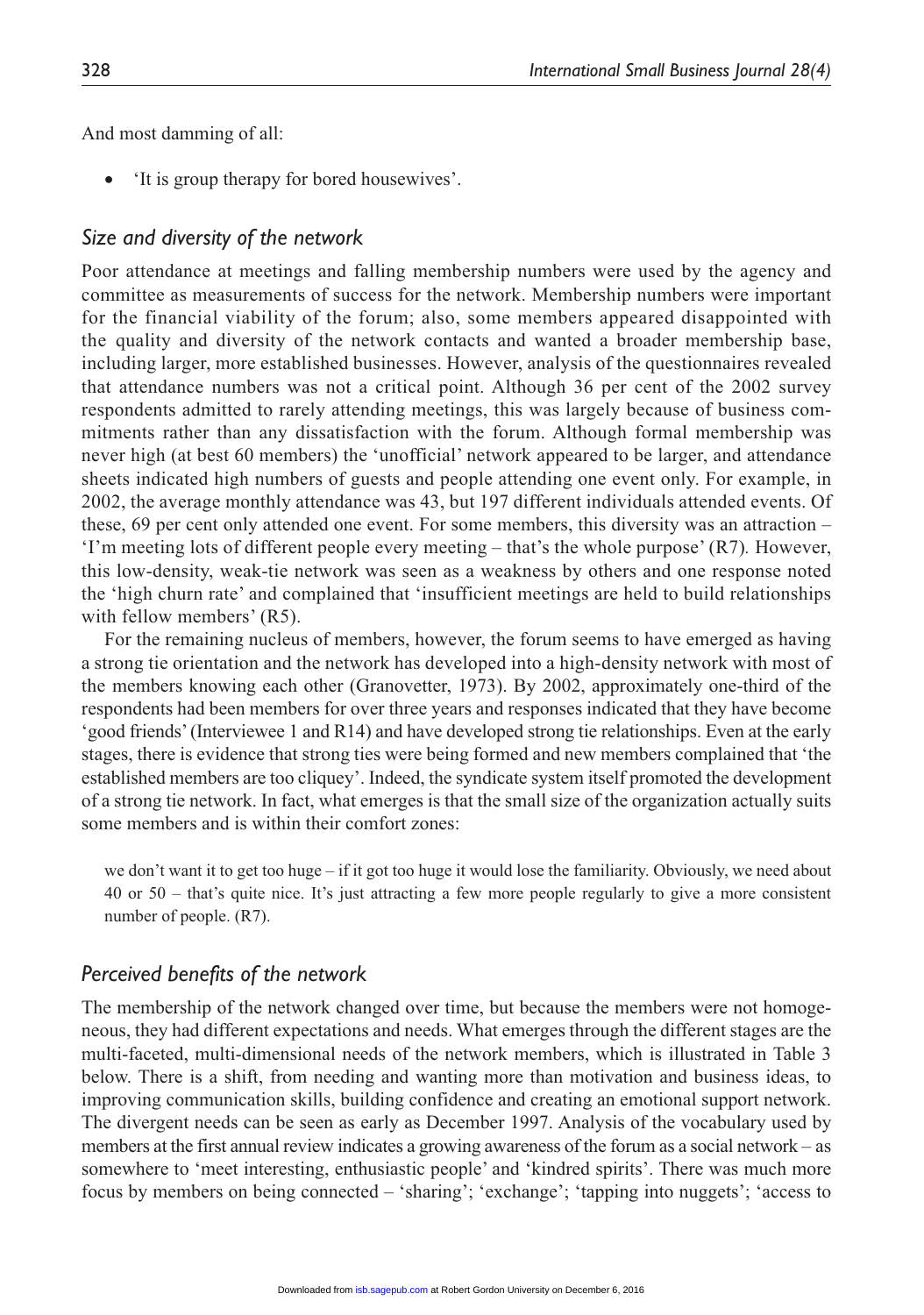And most damming of all:

• 'It is group therapy for bored housewives'.

### *Size and diversity of the network*

Poor attendance at meetings and falling membership numbers were used by the agency and committee as measurements of success for the network. Membership numbers were important for the financial viability of the forum; also, some members appeared disappointed with the quality and diversity of the network contacts and wanted a broader membership base, including larger, more established businesses. However, analysis of the questionnaires revealed that attendance numbers was not a critical point. Although 36 per cent of the 2002 survey respondents admitted to rarely attending meetings, this was largely because of business commitments rather than any dissatisfaction with the forum. Although formal membership was never high (at best 60 members) the 'unofficial' network appeared to be larger, and attendance sheets indicated high numbers of guests and people attending one event only. For example, in 2002, the average monthly attendance was 43, but 197 different individuals attended events. Of these, 69 per cent only attended one event. For some members, this diversity was an attraction – 'I'm meeting lots of different people every meeting – that's the whole purpose' (R7)*.* However, this low-density, weak-tie network was seen as a weakness by others and one response noted the 'high churn rate' and complained that 'insufficient meetings are held to build relationships with fellow members' (R5).

For the remaining nucleus of members, however, the forum seems to have emerged as having a strong tie orientation and the network has developed into a high-density network with most of the members knowing each other (Granovetter, 1973). By 2002, approximately one-third of the respondents had been members for over three years and responses indicated that they have become 'good friends' (Interviewee 1 and R14) and have developed strong tie relationships. Even at the early stages, there is evidence that strong ties were being formed and new members complained that 'the established members are too cliquey'. Indeed, the syndicate system itself promoted the development of a strong tie network. In fact, what emerges is that the small size of the organization actually suits some members and is within their comfort zones:

we don't want it to get too huge – if it got too huge it would lose the familiarity. Obviously, we need about 40 or 50 – that's quite nice. It's just attracting a few more people regularly to give a more consistent number of people. (R7).

### *Perceived benefits of the network*

The membership of the network changed over time, but because the members were not homogeneous, they had different expectations and needs. What emerges through the different stages are the multi-faceted, multi-dimensional needs of the network members, which is illustrated in Table 3 below. There is a shift, from needing and wanting more than motivation and business ideas, to improving communication skills, building confidence and creating an emotional support network. The divergent needs can be seen as early as December 1997. Analysis of the vocabulary used by members at the first annual review indicates a growing awareness of the forum as a social network – as somewhere to 'meet interesting, enthusiastic people' and 'kindred spirits'. There was much more focus by members on being connected – 'sharing'; 'exchange'; 'tapping into nuggets'; 'access to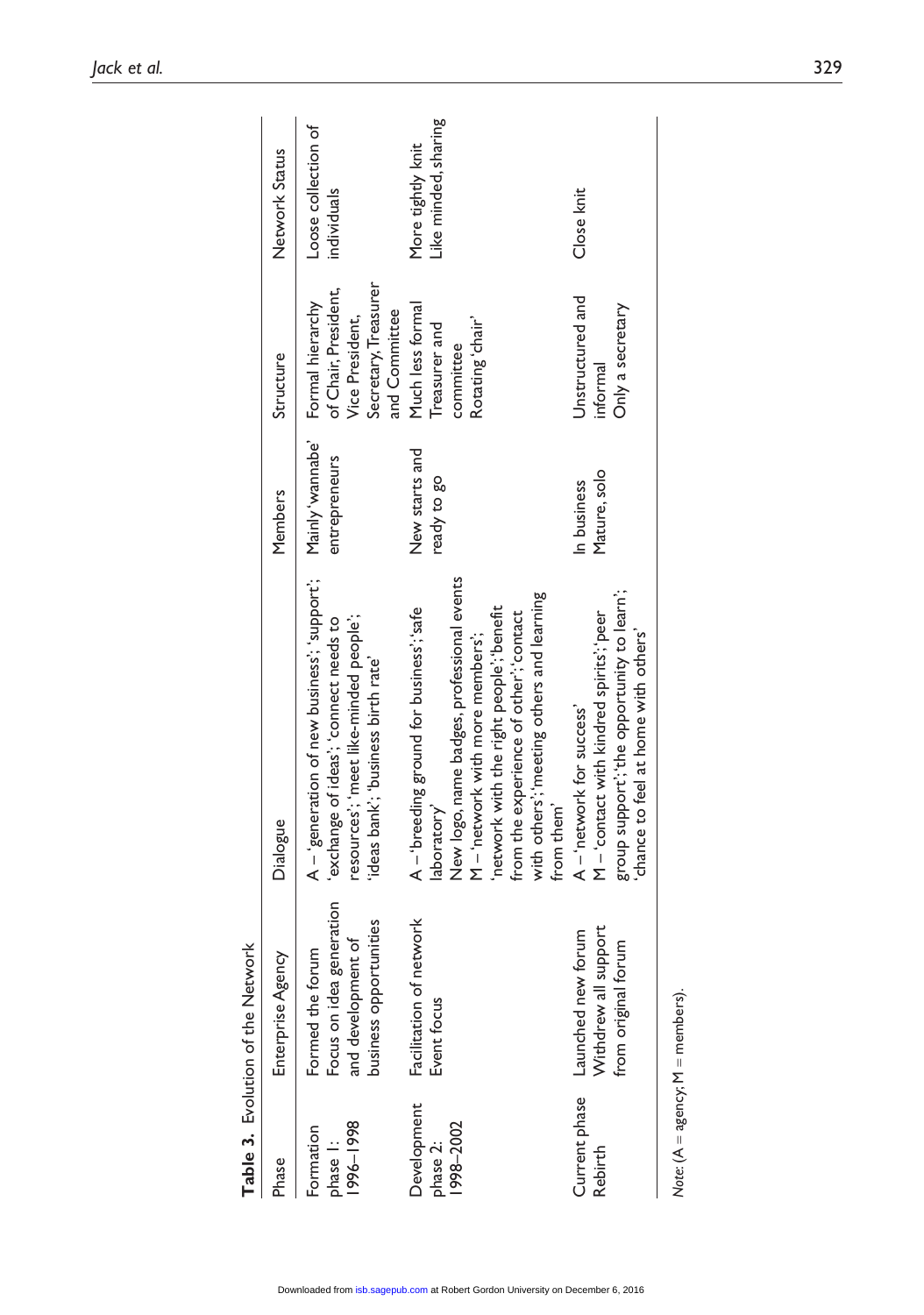|                                      | Table 3. Evolution of the Network                                                                |                                                                                                                                                                                                                                                                                             |                                   |                                                                                                      |                                           |
|--------------------------------------|--------------------------------------------------------------------------------------------------|---------------------------------------------------------------------------------------------------------------------------------------------------------------------------------------------------------------------------------------------------------------------------------------------|-----------------------------------|------------------------------------------------------------------------------------------------------|-------------------------------------------|
| Phase                                | Enterprise Agency                                                                                | Dialogue                                                                                                                                                                                                                                                                                    | Members                           | Structure                                                                                            | Network Status                            |
| 1996-1998<br>Formation<br>phase I:   | Focus on idea generation<br>tunities<br>and development of<br>Formed the forum<br>business oppor | $A - 'g$ eneration of new business'; 'support';<br>resources'; 'meet like-minded people';<br>exchange of ideas'; 'connect needs to<br>'ideas bank'; 'business birth rate'                                                                                                                   | Mainly 'wannabe'<br>entrepreneurs | Secretary, Treasurer<br>of Chair, President,<br>Formal hierarchy<br>and Committee<br>Vice President, | Loose collection of<br>individuals        |
| Development<br>1998-2002<br>phase 2: | Facilitation of network<br>Event focus                                                           | New logo, name badges, professional events<br>with others'; meeting others and learning<br>inetwork with the right people'; benefit<br>$A -$ 'breeding ground for business'; safe<br>from the experience of other'; contact<br>M - 'network with more members';<br>laboratory<br>from them' | New starts and<br>ready to go     | Much less formal<br>Rotating 'chair'<br>Treasurer and<br>committee                                   | Like minded, sharing<br>More tightly knit |
| Current phase<br>Rebirth             | Withdrew all support<br>Launched new forum<br>from original forum                                | group support'; the opportunity to learn';<br>M - 'contact with kindred spirits'; 'peer<br>'chance to feel at home with others'<br>A - 'network for success'                                                                                                                                | Mature, solo<br>In business       | Unstructured and<br>Only a secretary<br>informal                                                     | Close knit                                |
| $Note: (A = agency; M = members).$   |                                                                                                  |                                                                                                                                                                                                                                                                                             |                                   |                                                                                                      |                                           |

*Jack et al.* 329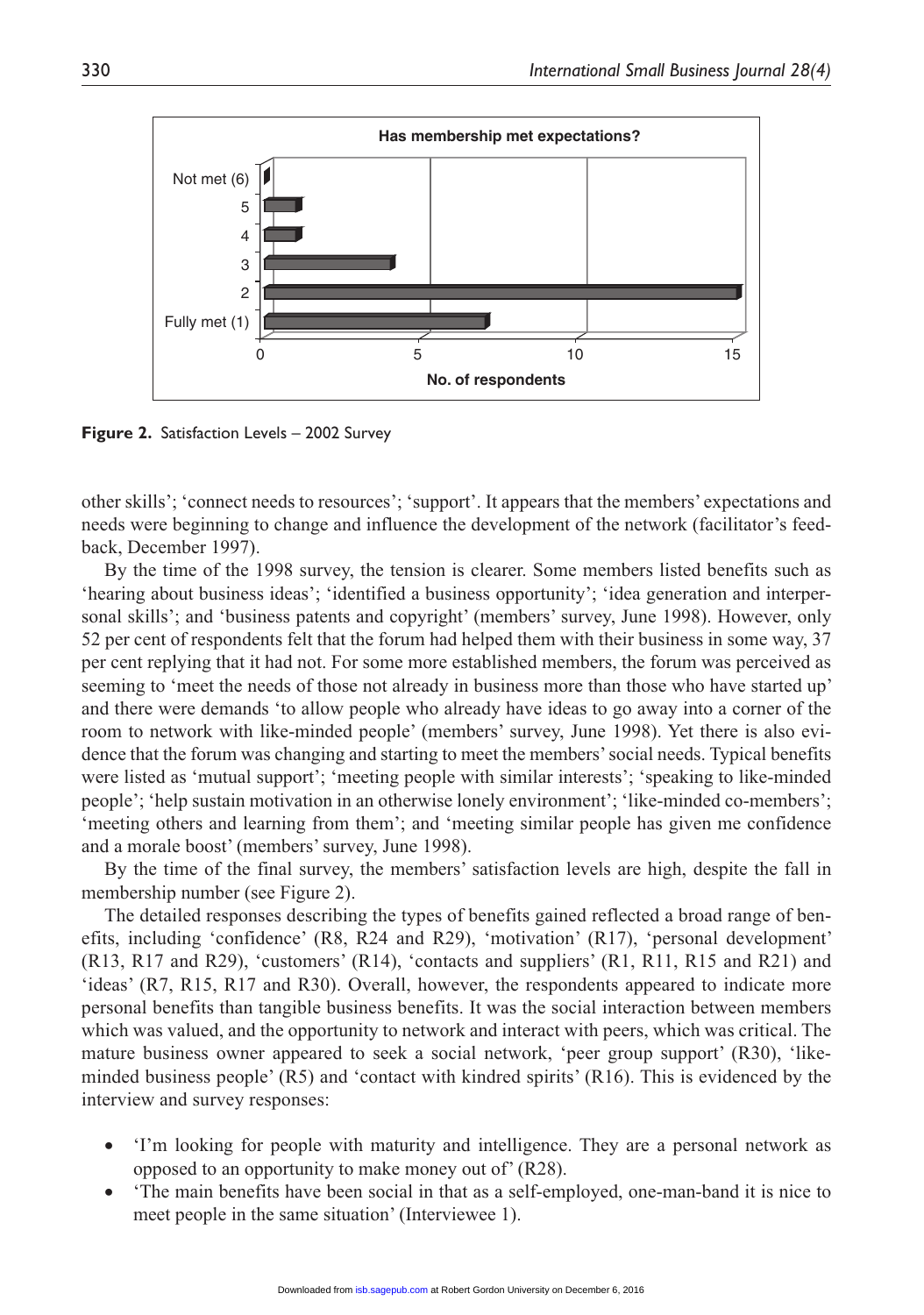

**Figure 2.** Satisfaction Levels – 2002 Survey

other skills'; 'connect needs to resources'; 'support'. It appears that the members' expectations and needs were beginning to change and influence the development of the network (facilitator's feedback, December 1997).

By the time of the 1998 survey, the tension is clearer. Some members listed benefits such as 'hearing about business ideas'; 'identified a business opportunity'; 'idea generation and interpersonal skills'; and 'business patents and copyright' (members' survey, June 1998). However, only 52 per cent of respondents felt that the forum had helped them with their business in some way, 37 per cent replying that it had not. For some more established members, the forum was perceived as seeming to 'meet the needs of those not already in business more than those who have started up' and there were demands 'to allow people who already have ideas to go away into a corner of the room to network with like-minded people' (members' survey, June 1998). Yet there is also evidence that the forum was changing and starting to meet the members' social needs. Typical benefits were listed as 'mutual support'; 'meeting people with similar interests'; 'speaking to like-minded people'; 'help sustain motivation in an otherwise lonely environment'; 'like-minded co-members'; 'meeting others and learning from them'; and 'meeting similar people has given me confidence and a morale boost' (members' survey, June 1998).

By the time of the final survey, the members' satisfaction levels are high, despite the fall in membership number (see Figure 2).

The detailed responses describing the types of benefits gained reflected a broad range of benefits, including 'confidence' (R8, R24 and R29), 'motivation' (R17), 'personal development' (R13, R17 and R29), 'customers' (R14), 'contacts and suppliers' (R1, R11, R15 and R21) and 'ideas' (R7, R15, R17 and R30). Overall, however, the respondents appeared to indicate more personal benefits than tangible business benefits. It was the social interaction between members which was valued, and the opportunity to network and interact with peers, which was critical. The mature business owner appeared to seek a social network, 'peer group support' (R30), 'likeminded business people' (R5) and 'contact with kindred spirits' (R16). This is evidenced by the interview and survey responses:

- T'm looking for people with maturity and intelligence. They are a personal network as opposed to an opportunity to make money out of' (R28).
- The main benefits have been social in that as a self-employed, one-man-band it is nice to meet people in the same situation' (Interviewee 1).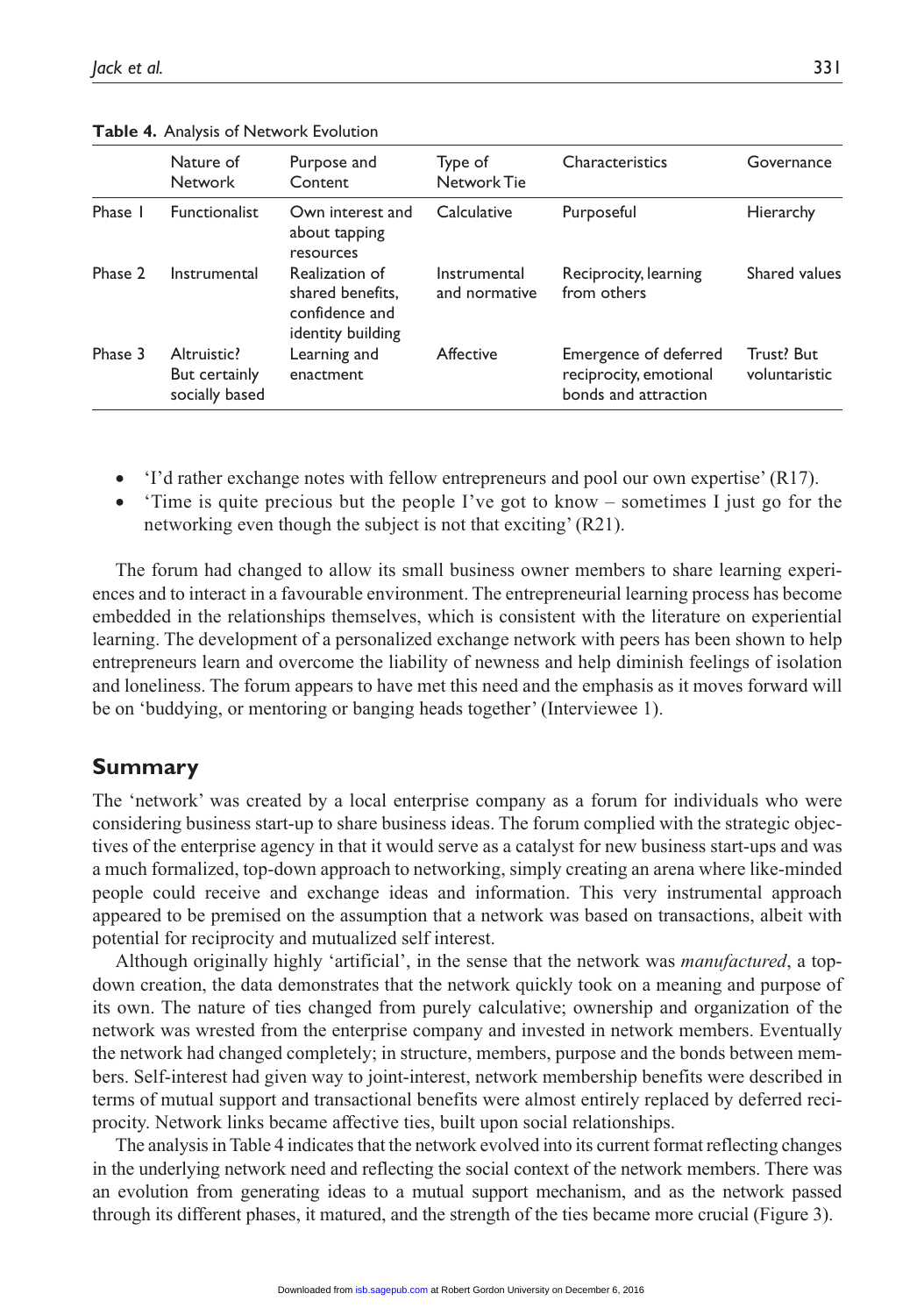|         | Nature of<br><b>Network</b>                    | Purpose and<br>Content                                                    | Type of<br>Network Tie        | Characteristics                                                         | Governance                  |
|---------|------------------------------------------------|---------------------------------------------------------------------------|-------------------------------|-------------------------------------------------------------------------|-----------------------------|
| Phase 1 | <b>Functionalist</b>                           | Own interest and<br>about tapping<br>resources                            | Calculative                   | Purposeful                                                              | Hierarchy                   |
| Phase 2 | Instrumental                                   | Realization of<br>shared benefits.<br>confidence and<br>identity building | Instrumental<br>and normative | Reciprocity, learning<br>from others                                    | Shared values               |
| Phase 3 | Altruistic?<br>But certainly<br>socially based | Learning and<br>enactment                                                 | Affective                     | Emergence of deferred<br>reciprocity, emotional<br>bonds and attraction | Trust? But<br>voluntaristic |

**Table 4.** Analysis of Network Evolution

- $\dot{H}$  rather exchange notes with fellow entrepreneurs and pool our own expertise' (R17).
- Time is quite precious but the people I've got to know sometimes I just go for the networking even though the subject is not that exciting' (R21).

The forum had changed to allow its small business owner members to share learning experiences and to interact in a favourable environment. The entrepreneurial learning process has become embedded in the relationships themselves, which is consistent with the literature on experiential learning. The development of a personalized exchange network with peers has been shown to help entrepreneurs learn and overcome the liability of newness and help diminish feelings of isolation and loneliness. The forum appears to have met this need and the emphasis as it moves forward will be on 'buddying, or mentoring or banging heads together' (Interviewee 1).

# **Summary**

The 'network' was created by a local enterprise company as a forum for individuals who were considering business start-up to share business ideas. The forum complied with the strategic objectives of the enterprise agency in that it would serve as a catalyst for new business start-ups and was a much formalized, top-down approach to networking, simply creating an arena where like-minded people could receive and exchange ideas and information. This very instrumental approach appeared to be premised on the assumption that a network was based on transactions, albeit with potential for reciprocity and mutualized self interest.

Although originally highly 'artificial', in the sense that the network was *manufactured*, a topdown creation, the data demonstrates that the network quickly took on a meaning and purpose of its own. The nature of ties changed from purely calculative; ownership and organization of the network was wrested from the enterprise company and invested in network members. Eventually the network had changed completely; in structure, members, purpose and the bonds between members. Self-interest had given way to joint-interest, network membership benefits were described in terms of mutual support and transactional benefits were almost entirely replaced by deferred reciprocity. Network links became affective ties, built upon social relationships.

The analysis in Table 4 indicates that the network evolved into its current format reflecting changes in the underlying network need and reflecting the social context of the network members. There was an evolution from generating ideas to a mutual support mechanism, and as the network passed through its different phases, it matured, and the strength of the ties became more crucial (Figure 3).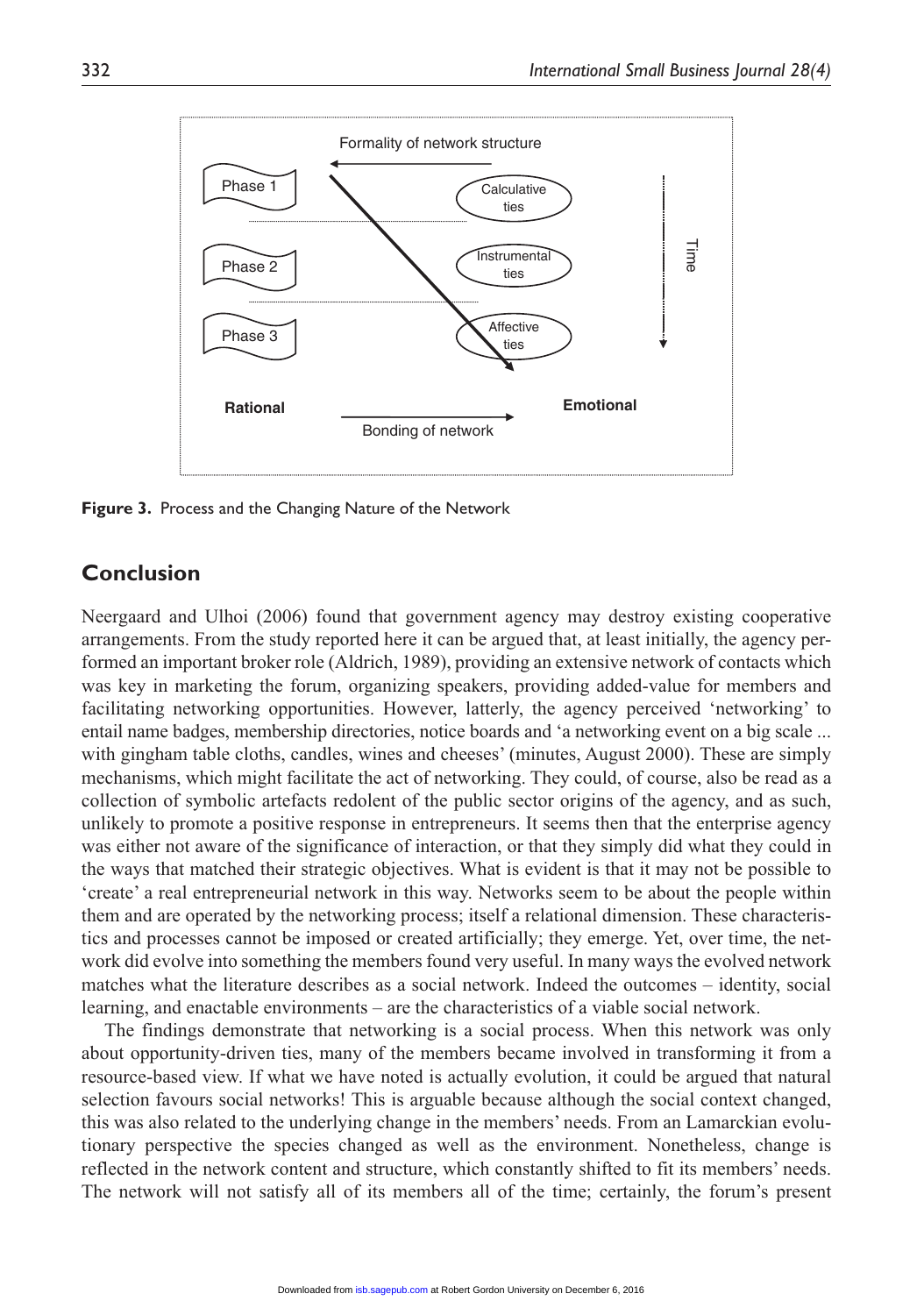

**Figure 3.** Process and the Changing Nature of the Network

# **Conclusion**

Neergaard and Ulhoi (2006) found that government agency may destroy existing cooperative arrangements. From the study reported here it can be argued that, at least initially, the agency performed an important broker role (Aldrich, 1989), providing an extensive network of contacts which was key in marketing the forum, organizing speakers, providing added-value for members and facilitating networking opportunities. However, latterly, the agency perceived 'networking' to entail name badges, membership directories, notice boards and 'a networking event on a big scale ... with gingham table cloths, candles, wines and cheeses' (minutes, August 2000). These are simply mechanisms, which might facilitate the act of networking. They could, of course, also be read as a collection of symbolic artefacts redolent of the public sector origins of the agency, and as such, unlikely to promote a positive response in entrepreneurs. It seems then that the enterprise agency was either not aware of the significance of interaction, or that they simply did what they could in the ways that matched their strategic objectives. What is evident is that it may not be possible to 'create' a real entrepreneurial network in this way. Networks seem to be about the people within them and are operated by the networking process; itself a relational dimension. These characteristics and processes cannot be imposed or created artificially; they emerge. Yet, over time, the network did evolve into something the members found very useful. In many ways the evolved network matches what the literature describes as a social network. Indeed the outcomes – identity, social learning, and enactable environments – are the characteristics of a viable social network.

The findings demonstrate that networking is a social process. When this network was only about opportunity-driven ties, many of the members became involved in transforming it from a resource-based view. If what we have noted is actually evolution, it could be argued that natural selection favours social networks! This is arguable because although the social context changed, this was also related to the underlying change in the members' needs. From an Lamarckian evolutionary perspective the species changed as well as the environment. Nonetheless, change is reflected in the network content and structure, which constantly shifted to fit its members' needs. The network will not satisfy all of its members all of the time; certainly, the forum's present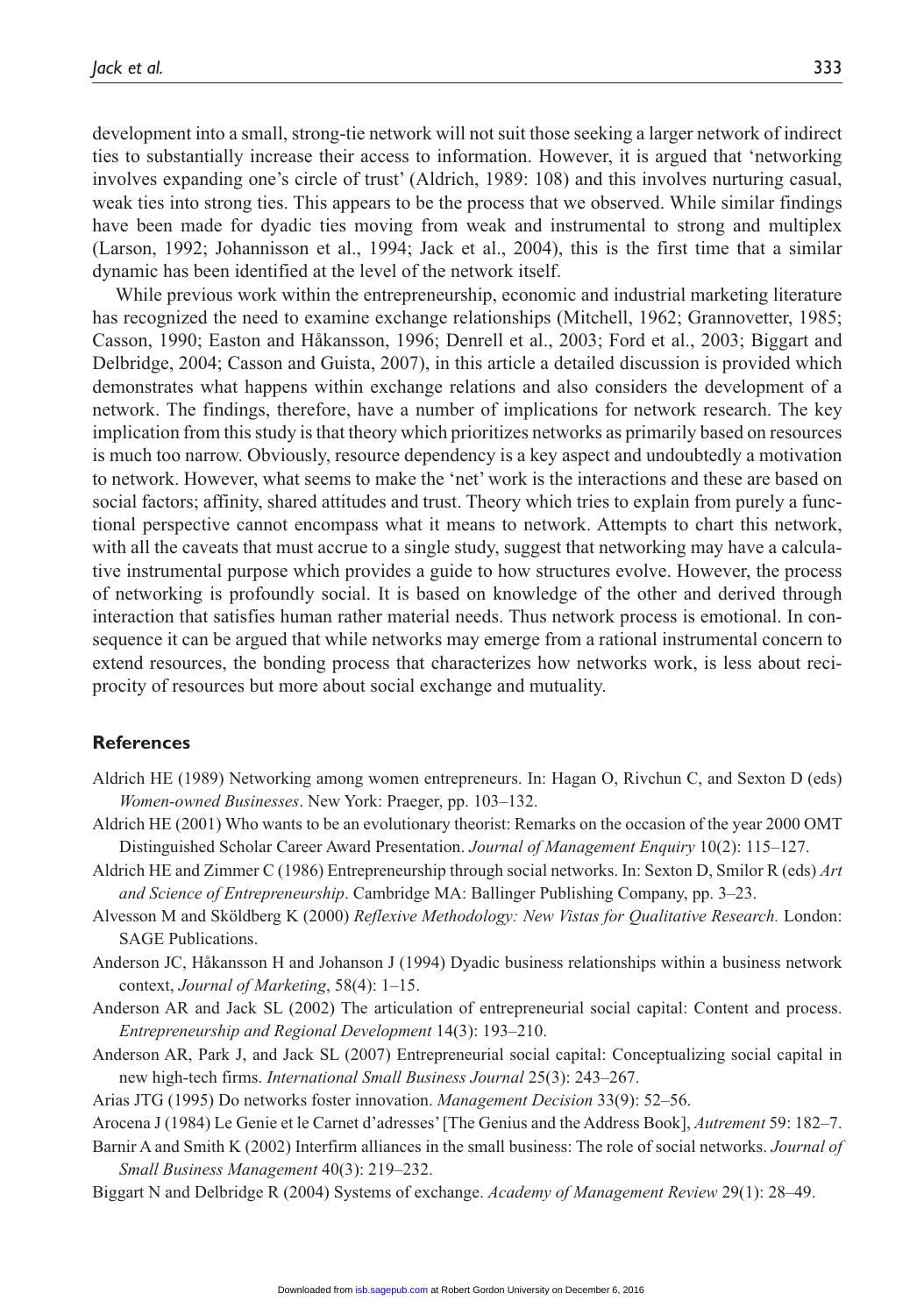development into a small, strong-tie network will not suit those seeking a larger network of indirect ties to substantially increase their access to information. However, it is argued that 'networking involves expanding one's circle of trust' (Aldrich, 1989: 108) and this involves nurturing casual, weak ties into strong ties. This appears to be the process that we observed. While similar findings have been made for dyadic ties moving from weak and instrumental to strong and multiplex (Larson, 1992; Johannisson et al., 1994; Jack et al., 2004), this is the first time that a similar dynamic has been identified at the level of the network itself.

While previous work within the entrepreneurship, economic and industrial marketing literature has recognized the need to examine exchange relationships (Mitchell, 1962; Grannovetter, 1985; Casson, 1990; Easton and Håkansson, 1996; Denrell et al., 2003; Ford et al., 2003; Biggart and Delbridge, 2004; Casson and Guista, 2007), in this article a detailed discussion is provided which demonstrates what happens within exchange relations and also considers the development of a network. The findings, therefore, have a number of implications for network research. The key implication from this study is that theory which prioritizes networks as primarily based on resources is much too narrow. Obviously, resource dependency is a key aspect and undoubtedly a motivation to network. However, what seems to make the 'net' work is the interactions and these are based on social factors; affinity, shared attitudes and trust. Theory which tries to explain from purely a functional perspective cannot encompass what it means to network. Attempts to chart this network, with all the caveats that must accrue to a single study, suggest that networking may have a calculative instrumental purpose which provides a guide to how structures evolve. However, the process of networking is profoundly social. It is based on knowledge of the other and derived through interaction that satisfies human rather material needs. Thus network process is emotional. In consequence it can be argued that while networks may emerge from a rational instrumental concern to extend resources, the bonding process that characterizes how networks work, is less about reciprocity of resources but more about social exchange and mutuality.

#### **References**

- Aldrich HE (1989) Networking among women entrepreneurs. In: Hagan O, Rivchun C, and Sexton D (eds) *Women-owned Businesses*. New York: Praeger, pp. 103–132.
- Aldrich HE (2001) Who wants to be an evolutionary theorist: Remarks on the occasion of the year 2000 OMT Distinguished Scholar Career Award Presentation. *Journal of Management Enquiry* 10(2): 115–127.
- Aldrich HE and Zimmer C (1986) Entrepreneurship through social networks. In: Sexton D, Smilor R (eds) *Art and Science of Entrepreneurship*. Cambridge MA: Ballinger Publishing Company, pp. 3–23.
- Alvesson M and Sköldberg K (2000) *Reflexive Methodology: New Vistas for Qualitative Research.* London: SAGE Publications.
- Anderson JC, Håkansson H and Johanson J (1994) Dyadic business relationships within a business network context, *Journal of Marketing*, 58(4): 1–15.
- Anderson AR and Jack SL (2002) The articulation of entrepreneurial social capital: Content and process. *Entrepreneurship and Regional Development* 14(3): 193–210.
- Anderson AR, Park J, and Jack SL (2007) Entrepreneurial social capital: Conceptualizing social capital in new high-tech firms. *International Small Business Journal* 25(3): 243–267.
- Arias JTG (1995) Do networks foster innovation. *Management Decision* 33(9): 52–56.
- Arocena J (1984) Le Genie et le Carnet d'adresses' [The Genius and the Address Book], *Autrement* 59: 182–7.
- Barnir A and Smith K (2002) Interfirm alliances in the small business: The role of social networks. *Journal of Small Business Management* 40(3): 219–232.
- Biggart N and Delbridge R (2004) Systems of exchange. *Academy of Management Review* 29(1): 28–49.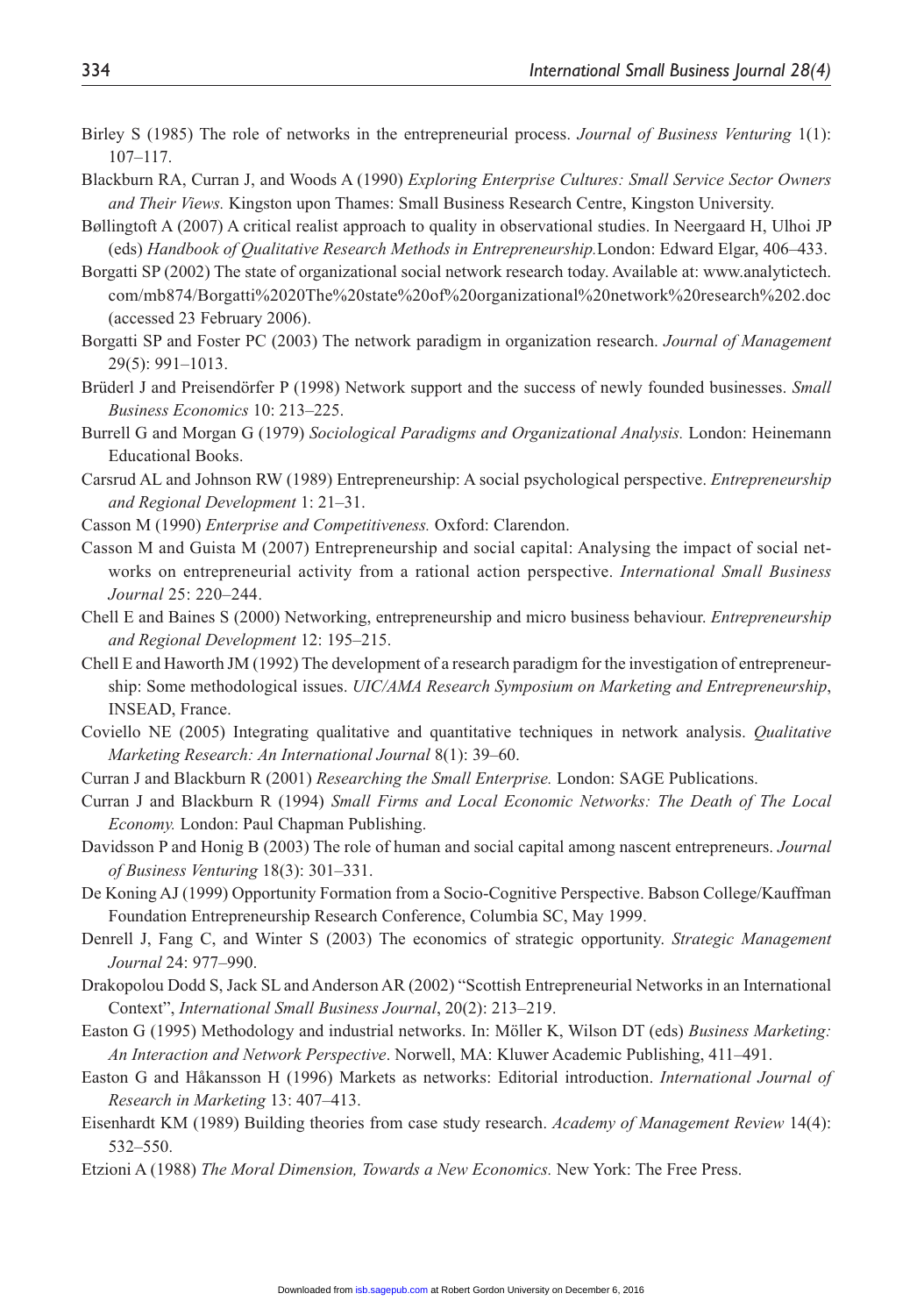- Birley S (1985) The role of networks in the entrepreneurial process. *Journal of Business Venturing* 1(1): 107–117.
- Blackburn RA, Curran J, and Woods A (1990) *Exploring Enterprise Cultures: Small Service Sector Owners and Their Views.* Kingston upon Thames: Small Business Research Centre, Kingston University.
- Bøllingtoft A (2007) A critical realist approach to quality in observational studies. In Neergaard H, Ulhoi JP (eds) *Handbook of Qualitative Research Methods in Entrepreneurship.*London: Edward Elgar, 406–433.
- Borgatti SP (2002) The state of organizational social network research today. Available at: www.analytictech. com/mb874/Borgatti%2020The%20state%20of%20organizational%20network%20research%202.doc (accessed 23 February 2006).
- Borgatti SP and Foster PC (2003) The network paradigm in organization research. *Journal of Management*  29(5): 991–1013.
- Brüderl J and Preisendörfer P (1998) Network support and the success of newly founded businesses. *Small Business Economics* 10: 213–225.
- Burrell G and Morgan G (1979) *Sociological Paradigms and Organizational Analysis.* London: Heinemann Educational Books.
- Carsrud AL and Johnson RW (1989) Entrepreneurship: A social psychological perspective. *Entrepreneurship and Regional Development* 1: 21–31.
- Casson M (1990) *Enterprise and Competitiveness.* Oxford: Clarendon.
- Casson M and Guista M (2007) Entrepreneurship and social capital: Analysing the impact of social networks on entrepreneurial activity from a rational action perspective. *International Small Business Journal* 25: 220–244.
- Chell E and Baines S (2000) Networking, entrepreneurship and micro business behaviour. *Entrepreneurship and Regional Development* 12: 195–215.
- Chell E and Haworth JM (1992) The development of a research paradigm for the investigation of entrepreneurship: Some methodological issues. *UIC/AMA Research Symposium on Marketing and Entrepreneurship*, INSEAD, France.
- Coviello NE (2005) Integrating qualitative and quantitative techniques in network analysis. *Qualitative Marketing Research: An International Journal* 8(1): 39–60.
- Curran J and Blackburn R (2001) *Researching the Small Enterprise.* London: SAGE Publications.
- Curran J and Blackburn R (1994) *Small Firms and Local Economic Networks: The Death of The Local Economy.* London: Paul Chapman Publishing.
- Davidsson P and Honig B (2003) The role of human and social capital among nascent entrepreneurs. *Journal of Business Venturing* 18(3): 301–331.
- De Koning AJ (1999) Opportunity Formation from a Socio-Cognitive Perspective. Babson College/Kauffman Foundation Entrepreneurship Research Conference, Columbia SC, May 1999.
- Denrell J, Fang C, and Winter S (2003) The economics of strategic opportunity. *Strategic Management Journal* 24: 977–990.
- Drakopolou Dodd S, Jack SL and Anderson AR (2002) "Scottish Entrepreneurial Networks in an International Context", *International Small Business Journal*, 20(2): 213–219.
- Easton G (1995) Methodology and industrial networks. In: Möller K, Wilson DT (eds) *Business Marketing: An Interaction and Network Perspective*. Norwell, MA: Kluwer Academic Publishing, 411–491.
- Easton G and Håkansson H (1996) Markets as networks: Editorial introduction. *International Journal of Research in Marketing* 13: 407–413.
- Eisenhardt KM (1989) Building theories from case study research. *Academy of Management Review* 14(4): 532–550.
- Etzioni A (1988) *The Moral Dimension, Towards a New Economics.* New York: The Free Press.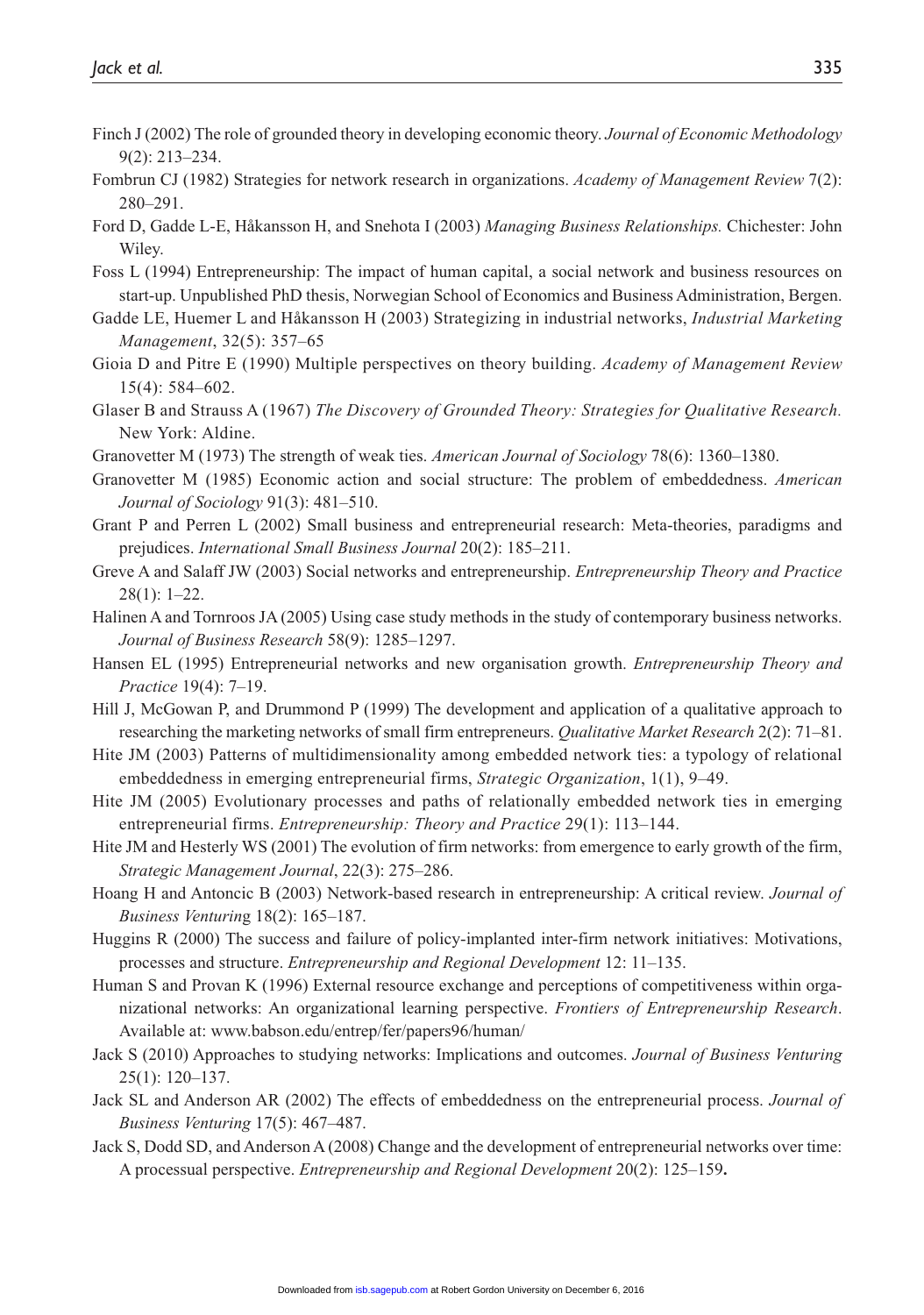- Finch J (2002) The role of grounded theory in developing economic theory. *Journal of Economic Methodology* 9(2): 213–234.
- Fombrun CJ (1982) Strategies for network research in organizations. *Academy of Management Review* 7(2): 280–291.
- Ford D, Gadde L-E, Håkansson H, and Snehota I (2003) *Managing Business Relationships.* Chichester: John Wiley.
- Foss L (1994) Entrepreneurship: The impact of human capital, a social network and business resources on start-up. Unpublished PhD thesis, Norwegian School of Economics and Business Administration, Bergen.
- Gadde LE, Huemer L and Håkansson H (2003) Strategizing in industrial networks, *Industrial Marketing Management*, 32(5): 357–65
- Gioia D and Pitre E (1990) Multiple perspectives on theory building. *Academy of Management Review* 15(4): 584–602.
- Glaser B and Strauss A (1967) *The Discovery of Grounded Theory: Strategies for Qualitative Research.* New York: Aldine.
- Granovetter M (1973) The strength of weak ties. *American Journal of Sociology* 78(6): 1360–1380.
- Granovetter M (1985) Economic action and social structure: The problem of embeddedness. *American Journal of Sociology* 91(3): 481–510.
- Grant P and Perren L (2002) Small business and entrepreneurial research: Meta-theories, paradigms and prejudices. *International Small Business Journal* 20(2): 185–211.
- Greve A and Salaff JW (2003) Social networks and entrepreneurship. *Entrepreneurship Theory and Practice* 28(1): 1–22.
- Halinen A and Tornroos JA (2005) Using case study methods in the study of contemporary business networks. *Journal of Business Research* 58(9): 1285–1297.
- Hansen EL (1995) Entrepreneurial networks and new organisation growth. *Entrepreneurship Theory and Practice* 19(4): 7–19.
- Hill J, McGowan P, and Drummond P (1999) The development and application of a qualitative approach to researching the marketing networks of small firm entrepreneurs. *Qualitative Market Research* 2(2): 71–81.
- Hite JM (2003) Patterns of multidimensionality among embedded network ties: a typology of relational embeddedness in emerging entrepreneurial firms, *Strategic Organization*, 1(1), 9–49.
- Hite JM (2005) Evolutionary processes and paths of relationally embedded network ties in emerging entrepreneurial firms. *Entrepreneurship: Theory and Practice* 29(1): 113–144.
- Hite JM and Hesterly WS (2001) The evolution of firm networks: from emergence to early growth of the firm, *Strategic Management Journal*, 22(3): 275–286.
- Hoang H and Antoncic B (2003) Network-based research in entrepreneurship: A critical review. *Journal of Business Venturin*g 18(2): 165–187.
- Huggins R (2000) The success and failure of policy-implanted inter-firm network initiatives: Motivations, processes and structure. *Entrepreneurship and Regional Development* 12: 11–135.
- Human S and Provan K (1996) External resource exchange and perceptions of competitiveness within organizational networks: An organizational learning perspective. *Frontiers of Entrepreneurship Research*. Available at: www.babson.edu/entrep/fer/papers96/human/
- Jack S (2010) Approaches to studying networks: Implications and outcomes. *Journal of Business Venturing* 25(1): 120–137.
- Jack SL and Anderson AR (2002) The effects of embeddedness on the entrepreneurial process. *Journal of Business Venturing* 17(5): 467–487.
- Jack S, Dodd SD, and Anderson A (2008) Change and the development of entrepreneurial networks over time: A processual perspective. *Entrepreneurship and Regional Development* 20(2): 125–159**.**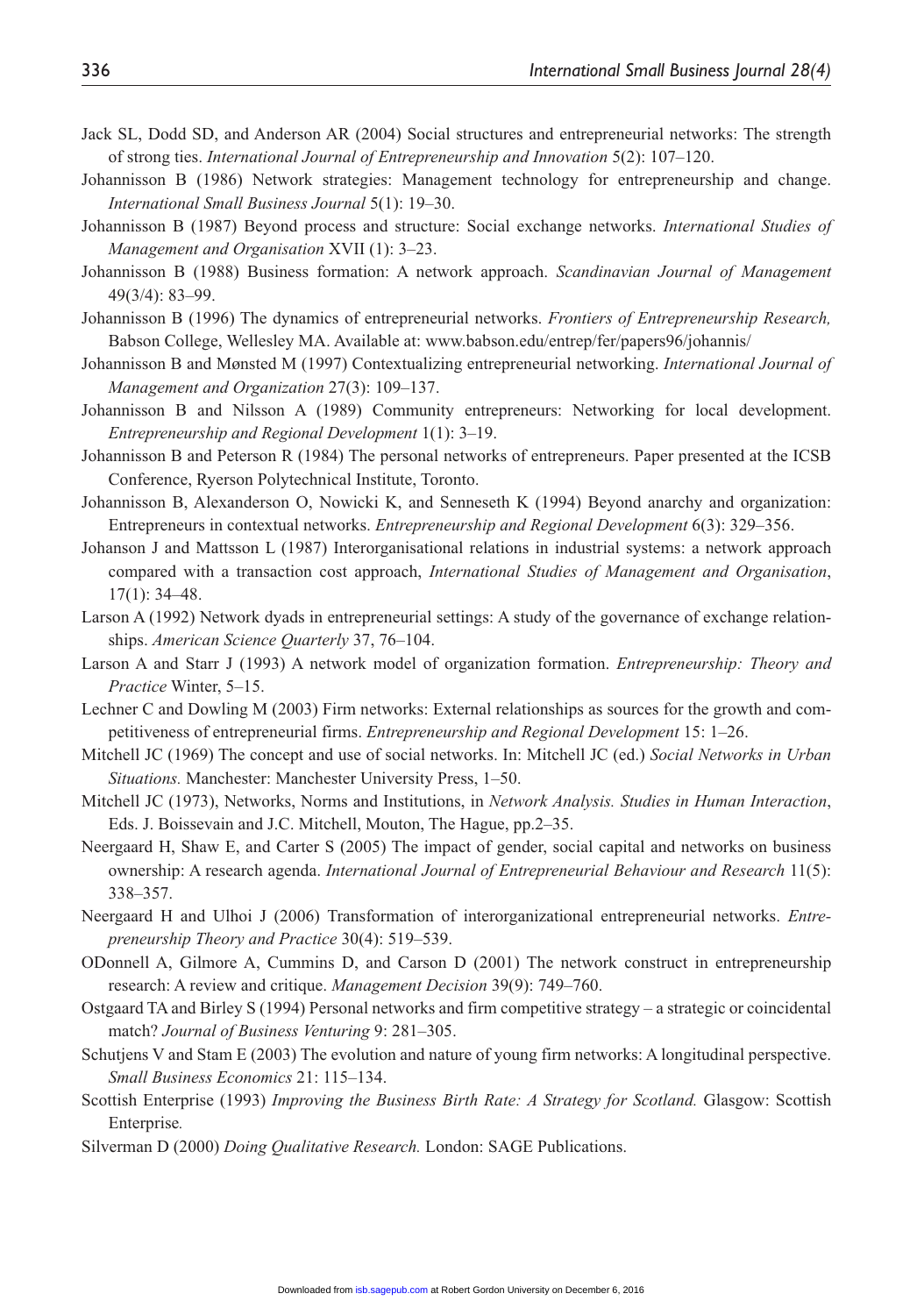- Jack SL, Dodd SD, and Anderson AR (2004) Social structures and entrepreneurial networks: The strength of strong ties. *International Journal of Entrepreneurship and Innovation* 5(2): 107–120.
- Johannisson B (1986) Network strategies: Management technology for entrepreneurship and change. *International Small Business Journal* 5(1): 19–30.
- Johannisson B (1987) Beyond process and structure: Social exchange networks. *International Studies of Management and Organisation* XVII (1): 3–23.
- Johannisson B (1988) Business formation: A network approach. *Scandinavian Journal of Management* 49(3/4): 83–99.
- Johannisson B (1996) The dynamics of entrepreneurial networks. *Frontiers of Entrepreneurship Research,*  Babson College, Wellesley MA. Available at: www.babson.edu/entrep/fer/papers96/johannis/
- Johannisson B and Mønsted M (1997) Contextualizing entrepreneurial networking. *International Journal of Management and Organization* 27(3): 109–137.
- Johannisson B and Nilsson A (1989) Community entrepreneurs: Networking for local development. *Entrepreneurship and Regional Development* 1(1): 3–19.
- Johannisson B and Peterson R (1984) The personal networks of entrepreneurs. Paper presented at the ICSB Conference, Ryerson Polytechnical Institute, Toronto.
- Johannisson B, Alexanderson O, Nowicki K, and Senneseth K (1994) Beyond anarchy and organization: Entrepreneurs in contextual networks. *Entrepreneurship and Regional Development* 6(3): 329–356.
- Johanson J and Mattsson L (1987) Interorganisational relations in industrial systems: a network approach compared with a transaction cost approach, *International Studies of Management and Organisation*, 17(1): 34–48.
- Larson A (1992) Network dyads in entrepreneurial settings: A study of the governance of exchange relationships. *American Science Quarterly* 37, 76–104.
- Larson A and Starr J (1993) A network model of organization formation. *Entrepreneurship: Theory and Practice* Winter, 5–15.
- Lechner C and Dowling M (2003) Firm networks: External relationships as sources for the growth and competitiveness of entrepreneurial firms. *Entrepreneurship and Regional Development* 15: 1–26.
- Mitchell JC (1969) The concept and use of social networks. In: Mitchell JC (ed.) *Social Networks in Urban Situations.* Manchester: Manchester University Press, 1–50.
- Mitchell JC (1973), Networks, Norms and Institutions, in *Network Analysis. Studies in Human Interaction*, Eds. J. Boissevain and J.C. Mitchell, Mouton, The Hague, pp.2–35.
- Neergaard H, Shaw E, and Carter S (2005) The impact of gender, social capital and networks on business ownership: A research agenda. *International Journal of Entrepreneurial Behaviour and Research* 11(5): 338–357.
- Neergaard H and Ulhoi J (2006) Transformation of interorganizational entrepreneurial networks. *Entrepreneurship Theory and Practice* 30(4): 519–539.
- ODonnell A, Gilmore A, Cummins D, and Carson D (2001) The network construct in entrepreneurship research: A review and critique. *Management Decision* 39(9): 749–760.
- Ostgaard TA and Birley S (1994) Personal networks and firm competitive strategy a strategic or coincidental match? *Journal of Business Venturing* 9: 281–305.
- Schutjens V and Stam E (2003) The evolution and nature of young firm networks: A longitudinal perspective. *Small Business Economics* 21: 115–134.
- Scottish Enterprise (1993) *Improving the Business Birth Rate: A Strategy for Scotland.* Glasgow: Scottish Enterprise*.*
- Silverman D (2000) *Doing Qualitative Research.* London: SAGE Publications.